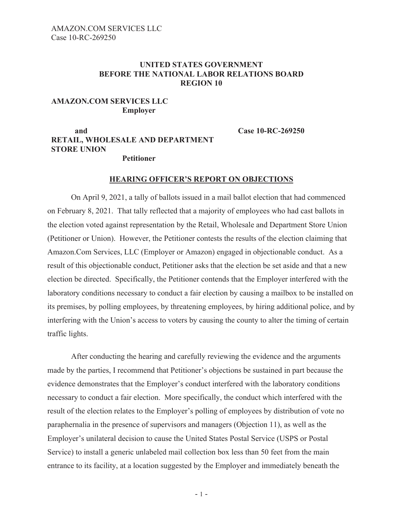## **UNITED STATES GOVERNMENT BEFORE THE NATIONAL LABOR RELATIONS BOARD REGION 10**

## **AMAZON.COM SERVICES LLC Employer**

**and Case 10-RC-269250 RETAIL, WHOLESALE AND DEPARTMENT STORE UNION**

**Petitioner**

## **HEARING OFFICER'S REPORT ON OBJECTIONS**

On April 9, 2021, a tally of ballots issued in a mail ballot election that had commenced on February 8, 2021. That tally reflected that a majority of employees who had cast ballots in the election voted against representation by the Retail, Wholesale and Department Store Union (Petitioner or Union). However, the Petitioner contests the results of the election claiming that Amazon.Com Services, LLC (Employer or Amazon) engaged in objectionable conduct. As a result of this objectionable conduct, Petitioner asks that the election be set aside and that a new election be directed. Specifically, the Petitioner contends that the Employer interfered with the laboratory conditions necessary to conduct a fair election by causing a mailbox to be installed on its premises, by polling employees, by threatening employees, by hiring additional police, and by interfering with the Union's access to voters by causing the county to alter the timing of certain traffic lights.

After conducting the hearing and carefully reviewing the evidence and the arguments made by the parties, I recommend that Petitioner's objections be sustained in part because the evidence demonstrates that the Employer's conduct interfered with the laboratory conditions necessary to conduct a fair election. More specifically, the conduct which interfered with the result of the election relates to the Employer's polling of employees by distribution of vote no paraphernalia in the presence of supervisors and managers (Objection 11), as well as the Employer's unilateral decision to cause the United States Postal Service (USPS or Postal Service) to install a generic unlabeled mail collection box less than 50 feet from the main entrance to its facility, at a location suggested by the Employer and immediately beneath the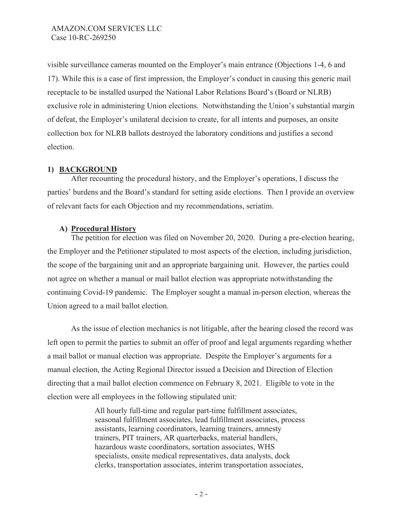visible surveillance cameras mounted on the Employer's main entrance (Objections 1-4, 6 and 17). While this is a case of first impression, the Employer's conduct in causing this generic mail receptacle to be installed usurped the National Labor Relations Board's (Board or NLRB) exclusive role in administering Union elections. Notwithstanding the Union's substantial margin of defeat, the Employer's unilateral decision to create, for all intents and purposes, an onsite collection box for NLRB ballots destroyed the laboratory conditions and justifies a second election.

# **1) BACKGROUND**

After recounting the procedural history, and the Employer's operations, I discuss the parties' burdens and the Board's standard for setting aside elections. Then I provide an overview of relevant facts for each Objection and my recommendations, seriatim.

# **A) Procedural History**

The petition for election was filed on November 20, 2020. During a pre-election hearing, the Employer and the Petitioner stipulated to most aspects of the election, including jurisdiction, the scope of the bargaining unit and an appropriate bargaining unit. However, the parties could not agree on whether a manual or mail ballot election was appropriate notwithstanding the continuing Covid-19 pandemic. The Employer sought a manual in-person election, whereas the Union agreed to a mail ballot election.

As the issue of election mechanics is not litigable, after the hearing closed the record was left open to permit the parties to submit an offer of proof and legal arguments regarding whether a mail ballot or manual election was appropriate. Despite the Employer's arguments for a manual election, the Acting Regional Director issued a Decision and Direction of Election directing that a mail ballot election commence on February 8, 2021. Eligible to vote in the election were all employees in the following stipulated unit:

> All hourly full-time and regular part-time fulfillment associates, seasonal fulfillment associates, lead fulfillment associates, process assistants, learning coordinators, learning trainers, amnesty trainers, PIT trainers, AR quarterbacks, material handlers, hazardous waste coordinators, sortation associates, WHS specialists, onsite medical representatives, data analysts, dock clerks, transportation associates, interim transportation associates,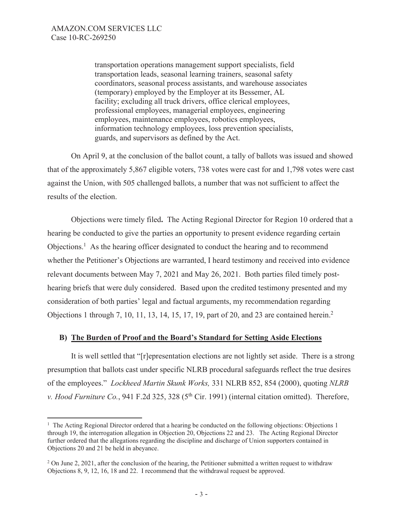transportation operations management support specialists, field transportation leads, seasonal learning trainers, seasonal safety coordinators, seasonal process assistants, and warehouse associates (temporary) employed by the Employer at its Bessemer, AL facility; excluding all truck drivers, office clerical employees, professional employees, managerial employees, engineering employees, maintenance employees, robotics employees, information technology employees, loss prevention specialists, guards, and supervisors as defined by the Act.

On April 9, at the conclusion of the ballot count, a tally of ballots was issued and showed that of the approximately 5,867 eligible voters, 738 votes were cast for and 1,798 votes were cast against the Union, with 505 challenged ballots, a number that was not sufficient to affect the results of the election.

 Objections were timely filed**.** The Acting Regional Director for Region 10 ordered that a hearing be conducted to give the parties an opportunity to present evidence regarding certain Objections.<sup>1</sup> As the hearing officer designated to conduct the hearing and to recommend whether the Petitioner's Objections are warranted, I heard testimony and received into evidence relevant documents between May 7, 2021 and May 26, 2021. Both parties filed timely posthearing briefs that were duly considered. Based upon the credited testimony presented and my consideration of both parties' legal and factual arguments, my recommendation regarding Objections 1 through 7, 10, 11, 13, 14, 15, 17, 19, part of 20, and 23 are contained herein.<sup>2</sup>

### **B) The Burden of Proof and the Board's Standard for Setting Aside Elections**

 It is well settled that "[r]epresentation elections are not lightly set aside. There is a strong presumption that ballots cast under specific NLRB procedural safeguards reflect the true desires of the employees." *Lockheed Martin Skunk Works,* 331 NLRB 852, 854 (2000), quoting *NLRB v. Hood Furniture Co.*, 941 F.2d 325, 328 (5<sup>th</sup> Cir. 1991) (internal citation omitted). Therefore,

<sup>&</sup>lt;sup>1</sup> The Acting Regional Director ordered that a hearing be conducted on the following objections: Objections 1 through 19, the interrogation allegation in Objection 20, Objections 22 and 23. The Acting Regional Director further ordered that the allegations regarding the discipline and discharge of Union supporters contained in Objections 20 and 21 be held in abeyance.

<sup>&</sup>lt;sup>2</sup> On June 2, 2021, after the conclusion of the hearing, the Petitioner submitted a written request to withdraw Objections 8, 9, 12, 16, 18 and 22. I recommend that the withdrawal request be approved.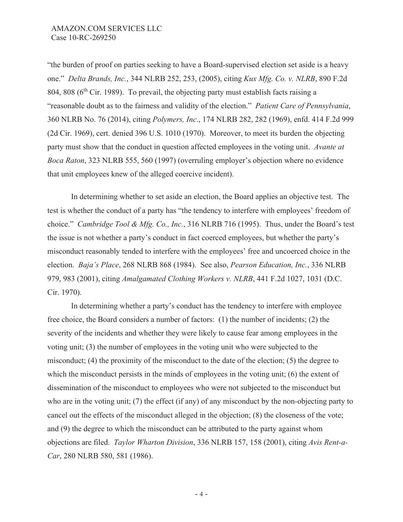"the burden of proof on parties seeking to have a Board-supervised election set aside is a heavy one." *Delta Brands, Inc.*, 344 NLRB 252, 253, (2005), citing *Kux Mfg. Co. v. NLRB*, 890 F.2d 804, 808 ( $6<sup>th</sup>$  Cir. 1989). To prevail, the objecting party must establish facts raising a "reasonable doubt as to the fairness and validity of the election." *Patient Care of Pennsylvania*, 360 NLRB No. 76 (2014), citing *Polymers, Inc*., 174 NLRB 282, 282 (1969), enfd. 414 F.2d 999 (2d Cir. 1969), cert. denied 396 U.S. 1010 (1970). Moreover, to meet its burden the objecting party must show that the conduct in question affected employees in the voting unit. *Avante at Boca Raton*, 323 NLRB 555, 560 (1997) (overruling employer's objection where no evidence that unit employees knew of the alleged coercive incident).

In determining whether to set aside an election, the Board applies an objective test. The test is whether the conduct of a party has "the tendency to interfere with employees' freedom of choice." *Cambridge Tool & Mfg. Co., Inc.*, 316 NLRB 716 (1995). Thus, under the Board's test the issue is not whether a party's conduct in fact coerced employees, but whether the party's misconduct reasonably tended to interfere with the employees' free and uncoerced choice in the election. *Baja's Place*, 268 NLRB 868 (1984). See also, *Pearson Education, Inc.*, 336 NLRB 979, 983 (2001), citing *Amalgamated Clothing Workers v. NLRB*, 441 F.2d 1027, 1031 (D.C. Cir. 1970).

 In determining whether a party's conduct has the tendency to interfere with employee free choice, the Board considers a number of factors: (1) the number of incidents; (2) the severity of the incidents and whether they were likely to cause fear among employees in the voting unit; (3) the number of employees in the voting unit who were subjected to the misconduct; (4) the proximity of the misconduct to the date of the election; (5) the degree to which the misconduct persists in the minds of employees in the voting unit; (6) the extent of dissemination of the misconduct to employees who were not subjected to the misconduct but who are in the voting unit; (7) the effect (if any) of any misconduct by the non-objecting party to cancel out the effects of the misconduct alleged in the objection; (8) the closeness of the vote; and (9) the degree to which the misconduct can be attributed to the party against whom objections are filed. *Taylor Wharton Division*, 336 NLRB 157, 158 (2001), citing *Avis Rent-a-Car*, 280 NLRB 580, 581 (1986).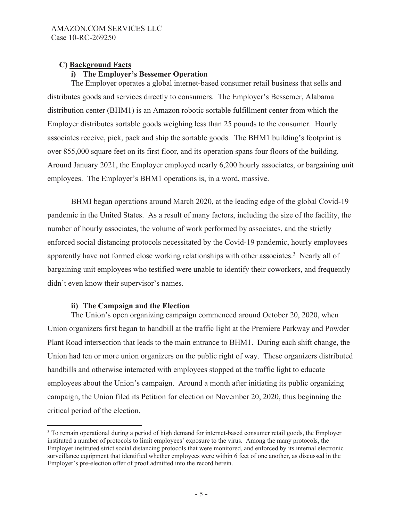# **C) Background Facts**

# **i) The Employer's Bessemer Operation**

The Employer operates a global internet-based consumer retail business that sells and distributes goods and services directly to consumers. The Employer's Bessemer, Alabama distribution center (BHM1) is an Amazon robotic sortable fulfillment center from which the Employer distributes sortable goods weighing less than 25 pounds to the consumer. Hourly associates receive, pick, pack and ship the sortable goods. The BHM1 building's footprint is over 855,000 square feet on its first floor, and its operation spans four floors of the building. Around January 2021, the Employer employed nearly 6,200 hourly associates, or bargaining unit employees. The Employer's BHM1 operations is, in a word, massive.

BHMI began operations around March 2020, at the leading edge of the global Covid-19 pandemic in the United States. As a result of many factors, including the size of the facility, the number of hourly associates, the volume of work performed by associates, and the strictly enforced social distancing protocols necessitated by the Covid-19 pandemic, hourly employees apparently have not formed close working relationships with other associates. $3$  Nearly all of bargaining unit employees who testified were unable to identify their coworkers, and frequently didn't even know their supervisor's names.

# **ii) The Campaign and the Election**

The Union's open organizing campaign commenced around October 20, 2020, when Union organizers first began to handbill at the traffic light at the Premiere Parkway and Powder Plant Road intersection that leads to the main entrance to BHM1. During each shift change, the Union had ten or more union organizers on the public right of way. These organizers distributed handbills and otherwise interacted with employees stopped at the traffic light to educate employees about the Union's campaign. Around a month after initiating its public organizing campaign, the Union filed its Petition for election on November 20, 2020, thus beginning the critical period of the election.

<sup>&</sup>lt;sup>3</sup> To remain operational during a period of high demand for internet-based consumer retail goods, the Employer instituted a number of protocols to limit employees' exposure to the virus. Among the many protocols, the Employer instituted strict social distancing protocols that were monitored, and enforced by its internal electronic surveillance equipment that identified whether employees were within 6 feet of one another, as discussed in the Employer's pre-election offer of proof admitted into the record herein.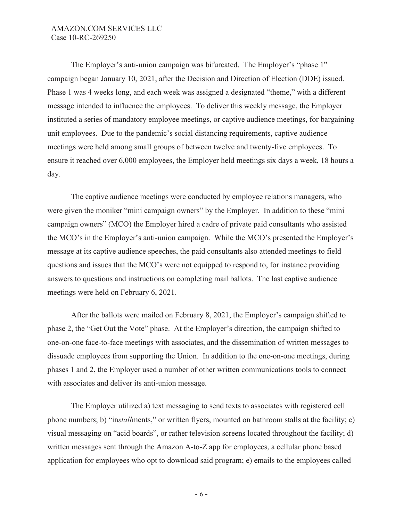The Employer's anti-union campaign was bifurcated. The Employer's "phase 1" campaign began January 10, 2021, after the Decision and Direction of Election (DDE) issued. Phase 1 was 4 weeks long, and each week was assigned a designated "theme," with a different message intended to influence the employees. To deliver this weekly message, the Employer instituted a series of mandatory employee meetings, or captive audience meetings, for bargaining unit employees. Due to the pandemic's social distancing requirements, captive audience meetings were held among small groups of between twelve and twenty-five employees. To ensure it reached over 6,000 employees, the Employer held meetings six days a week, 18 hours a day.

The captive audience meetings were conducted by employee relations managers, who were given the moniker "mini campaign owners" by the Employer. In addition to these "mini campaign owners" (MCO) the Employer hired a cadre of private paid consultants who assisted the MCO's in the Employer's anti-union campaign. While the MCO's presented the Employer's message at its captive audience speeches, the paid consultants also attended meetings to field questions and issues that the MCO's were not equipped to respond to, for instance providing answers to questions and instructions on completing mail ballots. The last captive audience meetings were held on February 6, 2021.

After the ballots were mailed on February 8, 2021, the Employer's campaign shifted to phase 2, the "Get Out the Vote" phase. At the Employer's direction, the campaign shifted to one-on-one face-to-face meetings with associates, and the dissemination of written messages to dissuade employees from supporting the Union. In addition to the one-on-one meetings, during phases 1 and 2, the Employer used a number of other written communications tools to connect with associates and deliver its anti-union message.

The Employer utilized a) text messaging to send texts to associates with registered cell phone numbers; b) "in*stall*ments," or written flyers, mounted on bathroom stalls at the facility; c) visual messaging on "acid boards", or rather television screens located throughout the facility; d) written messages sent through the Amazon A-to-Z app for employees, a cellular phone based application for employees who opt to download said program; e) emails to the employees called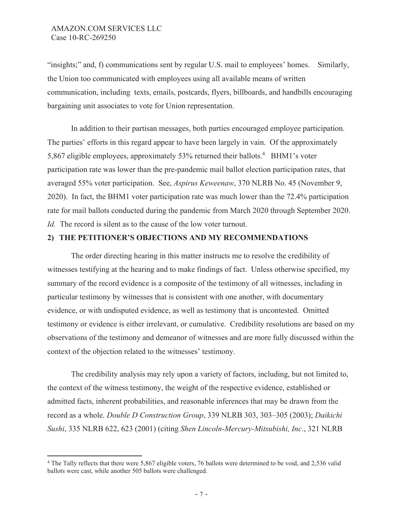"insights;" and, f) communications sent by regular U.S. mail to employees' homes. Similarly, the Union too communicated with employees using all available means of written communication, including texts, emails, postcards, flyers, billboards, and handbills encouraging bargaining unit associates to vote for Union representation.

In addition to their partisan messages, both parties encouraged employee participation. The parties' efforts in this regard appear to have been largely in vain. Of the approximately 5,867 eligible employees, approximately 53% returned their ballots.<sup>4</sup> BHM1's voter participation rate was lower than the pre-pandemic mail ballot election participation rates, that averaged 55% voter participation. See, *Aspirus Keweenaw*, 370 NLRB No. 45 (November 9, 2020). In fact, the BHM1 voter participation rate was much lower than the 72.4% participation rate for mail ballots conducted during the pandemic from March 2020 through September 2020. *Id.* The record is silent as to the cause of the low voter turnout.

### **2) THE PETITIONER'S OBJECTIONS AND MY RECOMMENDATIONS**

The order directing hearing in this matter instructs me to resolve the credibility of witnesses testifying at the hearing and to make findings of fact. Unless otherwise specified, my summary of the record evidence is a composite of the testimony of all witnesses, including in particular testimony by witnesses that is consistent with one another, with documentary evidence, or with undisputed evidence, as well as testimony that is uncontested. Omitted testimony or evidence is either irrelevant, or cumulative. Credibility resolutions are based on my observations of the testimony and demeanor of witnesses and are more fully discussed within the context of the objection related to the witnesses' testimony.

The credibility analysis may rely upon a variety of factors, including, but not limited to, the context of the witness testimony, the weight of the respective evidence, established or admitted facts, inherent probabilities, and reasonable inferences that may be drawn from the record as a whole. *Double D Construction Group*, 339 NLRB 303, 303–305 (2003); *Daikichi Sushi*, 335 NLRB 622, 623 (2001) (citing *Shen Lincoln-Mercury-Mitsubishi, Inc*., 321 NLRB

<sup>4</sup> The Tally reflects that there were 5,867 eligible voters, 76 ballots were determined to be void, and 2,536 valid ballots were cast, while another 505 ballots were challenged.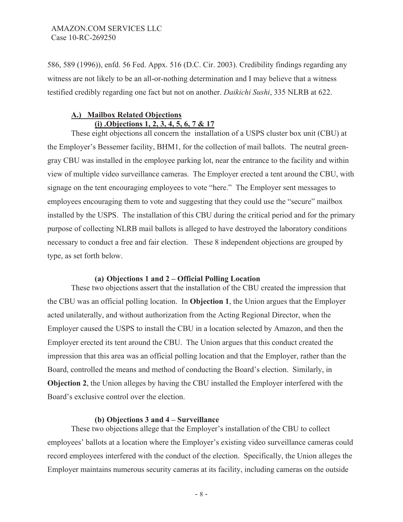586, 589 (1996)), enfd. 56 Fed. Appx. 516 (D.C. Cir. 2003). Credibility findings regarding any witness are not likely to be an all-or-nothing determination and I may believe that a witness testified credibly regarding one fact but not on another. *Daikichi Sushi*, 335 NLRB at 622.

# **A.) Mailbox Related Objections (i) .Objections 1, 2, 3, 4, 5, 6, 7 & 17**

These eight objections all concern the installation of a USPS cluster box unit (CBU) at the Employer's Bessemer facility, BHM1, for the collection of mail ballots. The neutral greengray CBU was installed in the employee parking lot, near the entrance to the facility and within view of multiple video surveillance cameras. The Employer erected a tent around the CBU, with signage on the tent encouraging employees to vote "here." The Employer sent messages to employees encouraging them to vote and suggesting that they could use the "secure" mailbox installed by the USPS. The installation of this CBU during the critical period and for the primary purpose of collecting NLRB mail ballots is alleged to have destroyed the laboratory conditions necessary to conduct a free and fair election. These 8 independent objections are grouped by type, as set forth below.

### **(a) Objections 1 and 2 – Official Polling Location**

These two objections assert that the installation of the CBU created the impression that the CBU was an official polling location. In **Objection 1**, the Union argues that the Employer acted unilaterally, and without authorization from the Acting Regional Director, when the Employer caused the USPS to install the CBU in a location selected by Amazon, and then the Employer erected its tent around the CBU. The Union argues that this conduct created the impression that this area was an official polling location and that the Employer, rather than the Board, controlled the means and method of conducting the Board's election. Similarly, in **Objection 2**, the Union alleges by having the CBU installed the Employer interfered with the Board's exclusive control over the election.

### **(b) Objections 3 and 4 – Surveillance**

These two objections allege that the Employer's installation of the CBU to collect employees' ballots at a location where the Employer's existing video surveillance cameras could record employees interfered with the conduct of the election. Specifically, the Union alleges the Employer maintains numerous security cameras at its facility, including cameras on the outside

- 8 -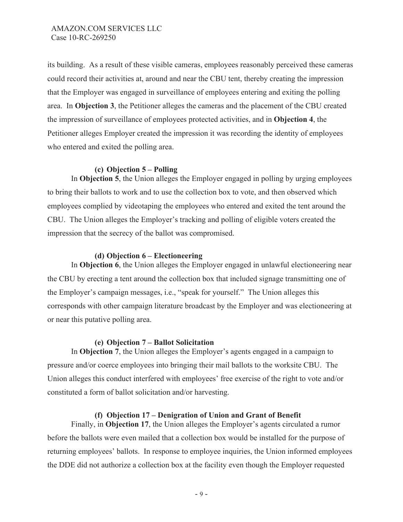its building. As a result of these visible cameras, employees reasonably perceived these cameras could record their activities at, around and near the CBU tent, thereby creating the impression that the Employer was engaged in surveillance of employees entering and exiting the polling area. In **Objection 3**, the Petitioner alleges the cameras and the placement of the CBU created the impression of surveillance of employees protected activities, and in **Objection 4**, the Petitioner alleges Employer created the impression it was recording the identity of employees who entered and exited the polling area.

# **(c) Objection 5 – Polling**

In **Objection 5**, the Union alleges the Employer engaged in polling by urging employees to bring their ballots to work and to use the collection box to vote, and then observed which employees complied by videotaping the employees who entered and exited the tent around the CBU. The Union alleges the Employer's tracking and polling of eligible voters created the impression that the secrecy of the ballot was compromised.

## **(d) Objection 6 – Electioneering**

In **Objection 6**, the Union alleges the Employer engaged in unlawful electioneering near the CBU by erecting a tent around the collection box that included signage transmitting one of the Employer's campaign messages, i.e., "speak for yourself." The Union alleges this corresponds with other campaign literature broadcast by the Employer and was electioneering at or near this putative polling area.

# **(e) Objection 7 – Ballot Solicitation**

In **Objection 7**, the Union alleges the Employer's agents engaged in a campaign to pressure and/or coerce employees into bringing their mail ballots to the worksite CBU. The Union alleges this conduct interfered with employees' free exercise of the right to vote and/or constituted a form of ballot solicitation and/or harvesting.

### **(f) Objection 17 – Denigration of Union and Grant of Benefit**

Finally, in **Objection 17**, the Union alleges the Employer's agents circulated a rumor before the ballots were even mailed that a collection box would be installed for the purpose of returning employees' ballots. In response to employee inquiries, the Union informed employees the DDE did not authorize a collection box at the facility even though the Employer requested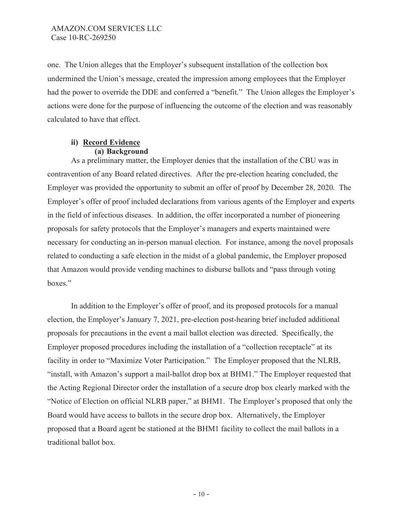one. The Union alleges that the Employer's subsequent installation of the collection box undermined the Union's message, created the impression among employees that the Employer had the power to override the DDE and conferred a "benefit." The Union alleges the Employer's actions were done for the purpose of influencing the outcome of the election and was reasonably calculated to have that effect.

## **ii) Record Evidence (a) Background**

As a preliminary matter, the Employer denies that the installation of the CBU was in contravention of any Board related directives. After the pre-election hearing concluded, the Employer was provided the opportunity to submit an offer of proof by December 28, 2020. The Employer's offer of proof included declarations from various agents of the Employer and experts in the field of infectious diseases. In addition, the offer incorporated a number of pioneering proposals for safety protocols that the Employer's managers and experts maintained were necessary for conducting an in-person manual election. For instance, among the novel proposals related to conducting a safe election in the midst of a global pandemic, the Employer proposed that Amazon would provide vending machines to disburse ballots and "pass through voting boxes."

In addition to the Employer's offer of proof, and its proposed protocols for a manual election, the Employer's January 7, 2021, pre-election post-hearing brief included additional proposals for precautions in the event a mail ballot election was directed. Specifically, the Employer proposed procedures including the installation of a "collection receptacle" at its facility in order to "Maximize Voter Participation." The Employer proposed that the NLRB, "install, with Amazon's support a mail-ballot drop box at BHM1." The Employer requested that the Acting Regional Director order the installation of a secure drop box clearly marked with the "Notice of Election on official NLRB paper," at BHM1. The Employer's proposed that only the Board would have access to ballots in the secure drop box. Alternatively, the Employer proposed that a Board agent be stationed at the BHM1 facility to collect the mail ballots in a traditional ballot box.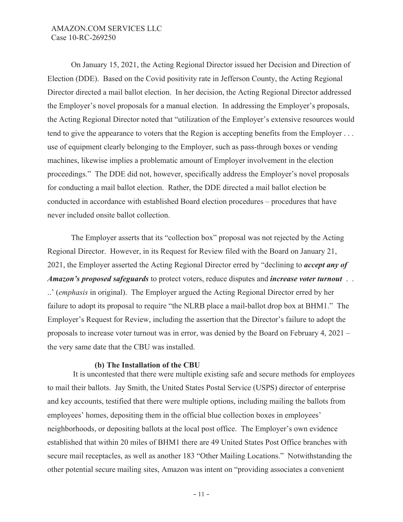On January 15, 2021, the Acting Regional Director issued her Decision and Direction of Election (DDE). Based on the Covid positivity rate in Jefferson County, the Acting Regional Director directed a mail ballot election. In her decision, the Acting Regional Director addressed the Employer's novel proposals for a manual election. In addressing the Employer's proposals, the Acting Regional Director noted that "utilization of the Employer's extensive resources would tend to give the appearance to voters that the Region is accepting benefits from the Employer . . . use of equipment clearly belonging to the Employer, such as pass-through boxes or vending machines, likewise implies a problematic amount of Employer involvement in the election proceedings." The DDE did not, however, specifically address the Employer's novel proposals for conducting a mail ballot election. Rather, the DDE directed a mail ballot election be conducted in accordance with established Board election procedures – procedures that have never included onsite ballot collection.

The Employer asserts that its "collection box" proposal was not rejected by the Acting Regional Director. However, in its Request for Review filed with the Board on January 21, 2021, the Employer asserted the Acting Regional Director erred by "declining to *accept any of Amazon's proposed safeguards* to protect voters, reduce disputes and *increase voter turnout* . . ..' (*emphasis* in original). The Employer argued the Acting Regional Director erred by her failure to adopt its proposal to require "the NLRB place a mail-ballot drop box at BHM1." The Employer's Request for Review, including the assertion that the Director's failure to adopt the proposals to increase voter turnout was in error, was denied by the Board on February 4, 2021 – the very same date that the CBU was installed.

### **(b) The Installation of the CBU**

 It is uncontested that there were multiple existing safe and secure methods for employees to mail their ballots. Jay Smith, the United States Postal Service (USPS) director of enterprise and key accounts, testified that there were multiple options, including mailing the ballots from employees' homes, depositing them in the official blue collection boxes in employees' neighborhoods, or depositing ballots at the local post office. The Employer's own evidence established that within 20 miles of BHM1 there are 49 United States Post Office branches with secure mail receptacles, as well as another 183 "Other Mailing Locations." Notwithstanding the other potential secure mailing sites, Amazon was intent on "providing associates a convenient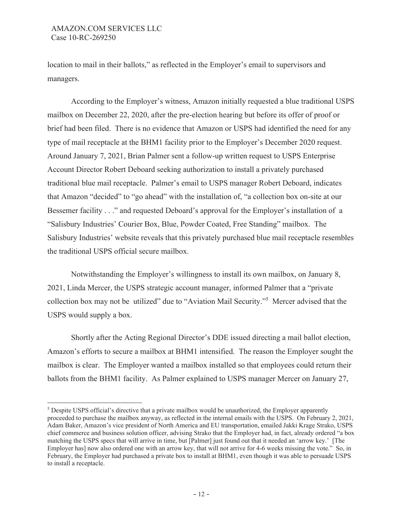location to mail in their ballots," as reflected in the Employer's email to supervisors and managers.

According to the Employer's witness, Amazon initially requested a blue traditional USPS mailbox on December 22, 2020, after the pre-election hearing but before its offer of proof or brief had been filed. There is no evidence that Amazon or USPS had identified the need for any type of mail receptacle at the BHM1 facility prior to the Employer's December 2020 request. Around January 7, 2021, Brian Palmer sent a follow-up written request to USPS Enterprise Account Director Robert Deboard seeking authorization to install a privately purchased traditional blue mail receptacle. Palmer's email to USPS manager Robert Deboard, indicates that Amazon "decided" to "go ahead" with the installation of, "a collection box on-site at our Bessemer facility . . ." and requested Deboard's approval for the Employer's installation of a "Salisbury Industries' Courier Box, Blue, Powder Coated, Free Standing" mailbox. The Salisbury Industries' website reveals that this privately purchased blue mail receptacle resembles the traditional USPS official secure mailbox.

Notwithstanding the Employer's willingness to install its own mailbox, on January 8, 2021, Linda Mercer, the USPS strategic account manager, informed Palmer that a "private collection box may not be utilized" due to "Aviation Mail Security."5 Mercer advised that the USPS would supply a box.

Shortly after the Acting Regional Director's DDE issued directing a mail ballot election, Amazon's efforts to secure a mailbox at BHM1 intensified. The reason the Employer sought the mailbox is clear. The Employer wanted a mailbox installed so that employees could return their ballots from the BHM1 facility. As Palmer explained to USPS manager Mercer on January 27,

<sup>&</sup>lt;sup>5</sup> Despite USPS official's directive that a private mailbox would be unauthorized, the Employer apparently proceeded to purchase the mailbox anyway, as reflected in the internal emails with the USPS. On February 2, 2021, Adam Baker, Amazon's vice president of North America and EU transportation, emailed Jakki Krage Strako, USPS chief commerce and business solution officer, advising Strako that the Employer had, in fact, already ordered "a box matching the USPS specs that will arrive in time, but [Palmer] just found out that it needed an 'arrow key.' [The Employer has] now also ordered one with an arrow key, that will not arrive for 4-6 weeks missing the vote." So, in February, the Employer had purchased a private box to install at BHM1, even though it was able to persuade USPS to install a receptacle.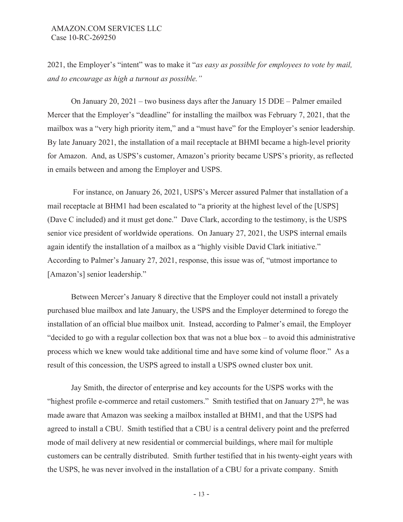2021, the Employer's "intent" was to make it "*as easy as possible for employees to vote by mail, and to encourage as high a turnout as possible."*

On January 20, 2021 – two business days after the January 15 DDE – Palmer emailed Mercer that the Employer's "deadline" for installing the mailbox was February 7, 2021, that the mailbox was a "very high priority item," and a "must have" for the Employer's senior leadership. By late January 2021, the installation of a mail receptacle at BHMI became a high-level priority for Amazon. And, as USPS's customer, Amazon's priority became USPS's priority, as reflected in emails between and among the Employer and USPS.

 For instance, on January 26, 2021, USPS's Mercer assured Palmer that installation of a mail receptacle at BHM1 had been escalated to "a priority at the highest level of the [USPS] (Dave C included) and it must get done." Dave Clark, according to the testimony, is the USPS senior vice president of worldwide operations. On January 27, 2021, the USPS internal emails again identify the installation of a mailbox as a "highly visible David Clark initiative." According to Palmer's January 27, 2021, response, this issue was of, "utmost importance to [Amazon's] senior leadership."

Between Mercer's January 8 directive that the Employer could not install a privately purchased blue mailbox and late January, the USPS and the Employer determined to forego the installation of an official blue mailbox unit. Instead, according to Palmer's email, the Employer "decided to go with a regular collection box that was not a blue box – to avoid this administrative process which we knew would take additional time and have some kind of volume floor." As a result of this concession, the USPS agreed to install a USPS owned cluster box unit.

Jay Smith, the director of enterprise and key accounts for the USPS works with the "highest profile e-commerce and retail customers." Smith testified that on January  $27<sup>th</sup>$ , he was made aware that Amazon was seeking a mailbox installed at BHM1, and that the USPS had agreed to install a CBU. Smith testified that a CBU is a central delivery point and the preferred mode of mail delivery at new residential or commercial buildings, where mail for multiple customers can be centrally distributed. Smith further testified that in his twenty-eight years with the USPS, he was never involved in the installation of a CBU for a private company. Smith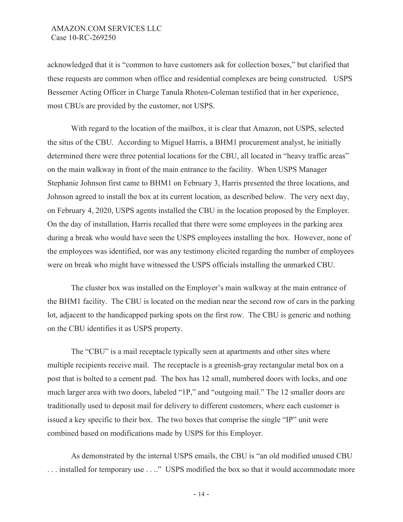acknowledged that it is "common to have customers ask for collection boxes," but clarified that these requests are common when office and residential complexes are being constructed. USPS Bessemer Acting Officer in Charge Tanula Rhoten-Coleman testified that in her experience, most CBUs are provided by the customer, not USPS.

With regard to the location of the mailbox, it is clear that Amazon, not USPS, selected the situs of the CBU. According to Miguel Harris, a BHM1 procurement analyst, he initially determined there were three potential locations for the CBU, all located in "heavy traffic areas" on the main walkway in front of the main entrance to the facility. When USPS Manager Stephanie Johnson first came to BHM1 on February 3, Harris presented the three locations, and Johnson agreed to install the box at its current location, as described below. The very next day, on February 4, 2020, USPS agents installed the CBU in the location proposed by the Employer. On the day of installation, Harris recalled that there were some employees in the parking area during a break who would have seen the USPS employees installing the box. However, none of the employees was identified, nor was any testimony elicited regarding the number of employees were on break who might have witnessed the USPS officials installing the unmarked CBU.

The cluster box was installed on the Employer's main walkway at the main entrance of the BHM1 facility. The CBU is located on the median near the second row of cars in the parking lot, adjacent to the handicapped parking spots on the first row. The CBU is generic and nothing on the CBU identifies it as USPS property.

The "CBU" is a mail receptacle typically seen at apartments and other sites where multiple recipients receive mail. The receptacle is a greenish-gray rectangular metal box on a post that is bolted to a cement pad. The box has 12 small, numbered doors with locks, and one much larger area with two doors, labeled "1P," and "outgoing mail." The 12 smaller doors are traditionally used to deposit mail for delivery to different customers, where each customer is issued a key specific to their box. The two boxes that comprise the single "IP" unit were combined based on modifications made by USPS for this Employer.

As demonstrated by the internal USPS emails, the CBU is "an old modified unused CBU . . . installed for temporary use . . .." USPS modified the box so that it would accommodate more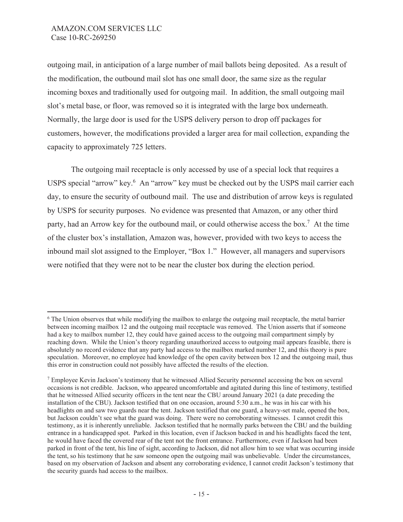outgoing mail, in anticipation of a large number of mail ballots being deposited. As a result of the modification, the outbound mail slot has one small door, the same size as the regular incoming boxes and traditionally used for outgoing mail. In addition, the small outgoing mail slot's metal base, or floor, was removed so it is integrated with the large box underneath. Normally, the large door is used for the USPS delivery person to drop off packages for customers, however, the modifications provided a larger area for mail collection, expanding the capacity to approximately 725 letters.

The outgoing mail receptacle is only accessed by use of a special lock that requires a USPS special "arrow" key.<sup>6</sup> An "arrow" key must be checked out by the USPS mail carrier each day, to ensure the security of outbound mail. The use and distribution of arrow keys is regulated by USPS for security purposes. No evidence was presented that Amazon, or any other third party, had an Arrow key for the outbound mail, or could otherwise access the box.<sup>7</sup> At the time of the cluster box's installation, Amazon was, however, provided with two keys to access the inbound mail slot assigned to the Employer, "Box 1." However, all managers and supervisors were notified that they were not to be near the cluster box during the election period.

<sup>&</sup>lt;sup>6</sup> The Union observes that while modifying the mailbox to enlarge the outgoing mail receptacle, the metal barrier between incoming mailbox 12 and the outgoing mail receptacle was removed. The Union asserts that if someone had a key to mailbox number 12, they could have gained access to the outgoing mail compartment simply by reaching down. While the Union's theory regarding unauthorized access to outgoing mail appears feasible, there is absolutely no record evidence that any party had access to the mailbox marked number 12, and this theory is pure speculation. Moreover, no employee had knowledge of the open cavity between box 12 and the outgoing mail, thus this error in construction could not possibly have affected the results of the election.

<sup>&</sup>lt;sup>7</sup> Employee Kevin Jackson's testimony that he witnessed Allied Security personnel accessing the box on several occasions is not credible. Jackson, who appeared uncomfortable and agitated during this line of testimony, testified that he witnessed Allied security officers in the tent near the CBU around January 2021 (a date preceding the installation of the CBU). Jackson testified that on one occasion, around 5:30 a.m., he was in his car with his headlights on and saw two guards near the tent. Jackson testified that one guard, a heavy-set male, opened the box, but Jackson couldn't see what the guard was doing. There were no corroborating witnesses. I cannot credit this testimony, as it is inherently unreliable. Jackson testified that he normally parks between the CBU and the building entrance in a handicapped spot. Parked in this location, even if Jackson backed in and his headlights faced the tent, he would have faced the covered rear of the tent not the front entrance. Furthermore, even if Jackson had been parked in front of the tent, his line of sight, according to Jackson, did not allow him to see what was occurring inside the tent, so his testimony that he saw someone open the outgoing mail was unbelievable. Under the circumstances, based on my observation of Jackson and absent any corroborating evidence, I cannot credit Jackson's testimony that the security guards had access to the mailbox.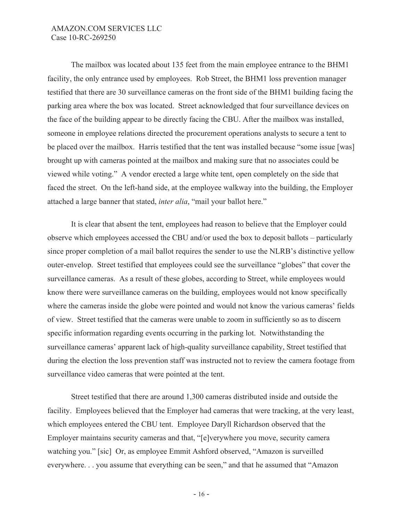The mailbox was located about 135 feet from the main employee entrance to the BHM1 facility, the only entrance used by employees. Rob Street, the BHM1 loss prevention manager testified that there are 30 surveillance cameras on the front side of the BHM1 building facing the parking area where the box was located. Street acknowledged that four surveillance devices on the face of the building appear to be directly facing the CBU. After the mailbox was installed, someone in employee relations directed the procurement operations analysts to secure a tent to be placed over the mailbox. Harris testified that the tent was installed because "some issue [was] brought up with cameras pointed at the mailbox and making sure that no associates could be viewed while voting." A vendor erected a large white tent, open completely on the side that faced the street. On the left-hand side, at the employee walkway into the building, the Employer attached a large banner that stated, *inter alia*, "mail your ballot here."

It is clear that absent the tent, employees had reason to believe that the Employer could observe which employees accessed the CBU and/or used the box to deposit ballots – particularly since proper completion of a mail ballot requires the sender to use the NLRB's distinctive yellow outer-envelop. Street testified that employees could see the surveillance "globes" that cover the surveillance cameras. As a result of these globes, according to Street, while employees would know there were surveillance cameras on the building, employees would not know specifically where the cameras inside the globe were pointed and would not know the various cameras' fields of view. Street testified that the cameras were unable to zoom in sufficiently so as to discern specific information regarding events occurring in the parking lot. Notwithstanding the surveillance cameras' apparent lack of high-quality surveillance capability, Street testified that during the election the loss prevention staff was instructed not to review the camera footage from surveillance video cameras that were pointed at the tent.

Street testified that there are around 1,300 cameras distributed inside and outside the facility. Employees believed that the Employer had cameras that were tracking, at the very least, which employees entered the CBU tent. Employee Daryll Richardson observed that the Employer maintains security cameras and that, "[e]verywhere you move, security camera watching you." [sic] Or, as employee Emmit Ashford observed, "Amazon is surveilled everywhere. . . you assume that everything can be seen," and that he assumed that "Amazon"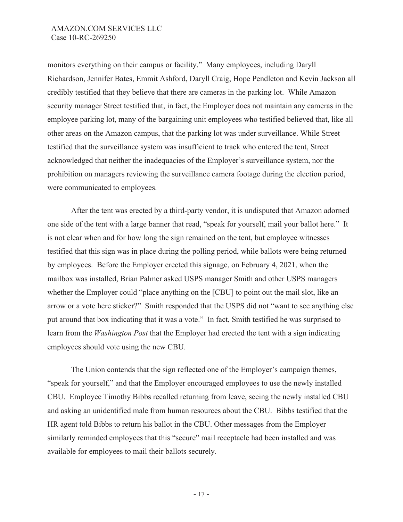monitors everything on their campus or facility." Many employees, including Daryll Richardson, Jennifer Bates, Emmit Ashford, Daryll Craig, Hope Pendleton and Kevin Jackson all credibly testified that they believe that there are cameras in the parking lot. While Amazon security manager Street testified that, in fact, the Employer does not maintain any cameras in the employee parking lot, many of the bargaining unit employees who testified believed that, like all other areas on the Amazon campus, that the parking lot was under surveillance. While Street testified that the surveillance system was insufficient to track who entered the tent, Street acknowledged that neither the inadequacies of the Employer's surveillance system, nor the prohibition on managers reviewing the surveillance camera footage during the election period, were communicated to employees.

After the tent was erected by a third-party vendor, it is undisputed that Amazon adorned one side of the tent with a large banner that read, "speak for yourself, mail your ballot here." It is not clear when and for how long the sign remained on the tent, but employee witnesses testified that this sign was in place during the polling period, while ballots were being returned by employees. Before the Employer erected this signage, on February 4, 2021, when the mailbox was installed, Brian Palmer asked USPS manager Smith and other USPS managers whether the Employer could "place anything on the [CBU] to point out the mail slot, like an arrow or a vote here sticker?" Smith responded that the USPS did not "want to see anything else put around that box indicating that it was a vote." In fact, Smith testified he was surprised to learn from the *Washington Post* that the Employer had erected the tent with a sign indicating employees should vote using the new CBU.

The Union contends that the sign reflected one of the Employer's campaign themes, "speak for yourself," and that the Employer encouraged employees to use the newly installed CBU. Employee Timothy Bibbs recalled returning from leave, seeing the newly installed CBU and asking an unidentified male from human resources about the CBU. Bibbs testified that the HR agent told Bibbs to return his ballot in the CBU. Other messages from the Employer similarly reminded employees that this "secure" mail receptacle had been installed and was available for employees to mail their ballots securely.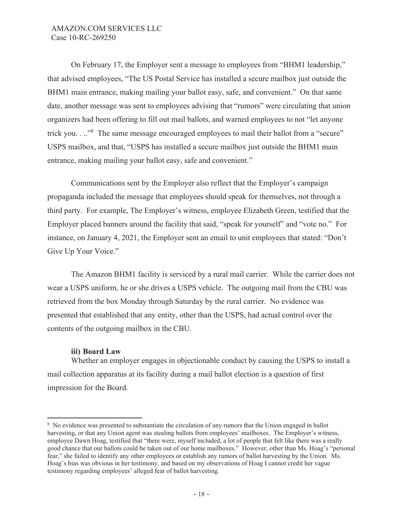On February 17, the Employer sent a message to employees from "BHM1 leadership," that advised employees, "The US Postal Service has installed a secure mailbox just outside the BHM1 main entrance, making mailing your ballot easy, safe, and convenient." On that same date, another message was sent to employees advising that "rumors" were circulating that union organizers had been offering to fill out mail ballots, and warned employees to not "let anyone trick you. . .."<sup>8</sup> The same message encouraged employees to mail their ballot from a "secure" USPS mailbox, and that, "USPS has installed a secure mailbox just outside the BHM1 main entrance, making mailing your ballot easy, safe and convenient."

Communications sent by the Employer also reflect that the Employer's campaign propaganda included the message that employees should speak for themselves, not through a third party. For example, The Employer's witness, employee Elizabeth Green, testified that the Employer placed banners around the facility that said, "speak for yourself" and "vote no." For instance, on January 4, 2021, the Employer sent an email to unit employees that stated: "Don't Give Up Your Voice."

The Amazon BHM1 facility is serviced by a rural mail carrier. While the carrier does not wear a USPS uniform, he or she drives a USPS vehicle. The outgoing mail from the CBU was retrieved from the box Monday through Saturday by the rural carrier. No evidence was presented that established that any entity, other than the USPS, had actual control over the contents of the outgoing mailbox in the CBU.

## **iii) Board Law**

Whether an employer engages in objectionable conduct by causing the USPS to install a mail collection apparatus at its facility during a mail ballot election is a question of first impression for the Board.

<sup>&</sup>lt;sup>8</sup> No evidence was presented to substantiate the circulation of any rumors that the Union engaged in ballot harvesting, or that any Union agent was stealing ballots from employees' mailboxes. The Employer's witness, employee Dawn Hoag, testified that "there were, myself included, a lot of people that felt like there was a really good chance that our ballots could be taken out of our home mailboxes." However, other than Ms. Hoag's "personal fear," she failed to identify any other employees or establish any rumors of ballot harvesting by the Union. Ms. Hoag's bias was obvious in her testimony, and based on my observations of Hoag I cannot credit her vague testimony regarding employees' alleged fear of ballot harvesting.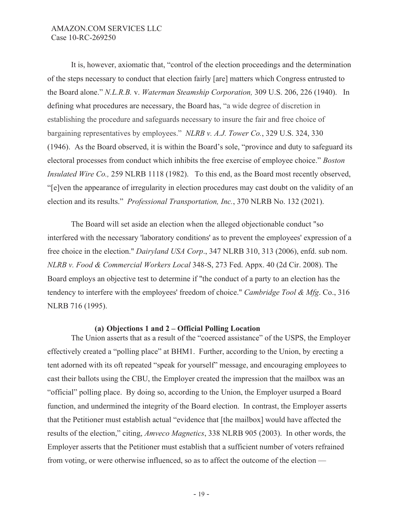It is, however, axiomatic that, "control of the election proceedings and the determination of the steps necessary to conduct that election fairly [are] matters which Congress entrusted to the Board alone." *N.L.R.B.* v. *Waterman Steamship Corporation,* 309 U.S. 206, 226 (1940). In defining what procedures are necessary, the Board has, "a wide degree of discretion in establishing the procedure and safeguards necessary to insure the fair and free choice of bargaining representatives by employees." *NLRB v. A.J. Tower Co.*, 329 U.S. 324, 330 (1946). As the Board observed, it is within the Board's sole, "province and duty to safeguard its electoral processes from conduct which inhibits the free exercise of employee choice." *Boston Insulated Wire Co.,* 259 NLRB 1118 (1982). To this end, as the Board most recently observed, "[e]ven the appearance of irregularity in election procedures may cast doubt on the validity of an election and its results." *Professional Transportation, Inc.*, 370 NLRB No. 132 (2021).

The Board will set aside an election when the alleged objectionable conduct "so interfered with the necessary 'laboratory conditions' as to prevent the employees' expression of a free choice in the election." *Dairyland USA Corp*., 347 NLRB 310, 313 (2006), enfd. sub nom. *NLRB v. Food & Commercial Workers Local* 348-S, 273 Fed. Appx. 40 (2d Cir. 2008). The Board employs an objective test to determine if "the conduct of a party to an election has the tendency to interfere with the employees' freedom of choice." *Cambridge Tool & Mfg*. Co., 316 NLRB 716 (1995).

### **(a) Objections 1 and 2 – Official Polling Location**

The Union asserts that as a result of the "coerced assistance" of the USPS, the Employer effectively created a "polling place" at BHM1. Further, according to the Union, by erecting a tent adorned with its oft repeated "speak for yourself" message, and encouraging employees to cast their ballots using the CBU, the Employer created the impression that the mailbox was an "official" polling place. By doing so, according to the Union, the Employer usurped a Board function, and undermined the integrity of the Board election. In contrast, the Employer asserts that the Petitioner must establish actual "evidence that [the mailbox] would have affected the results of the election," citing, *Amveco Magnetics*, 338 NLRB 905 (2003). In other words, the Employer asserts that the Petitioner must establish that a sufficient number of voters refrained from voting, or were otherwise influenced, so as to affect the outcome of the election —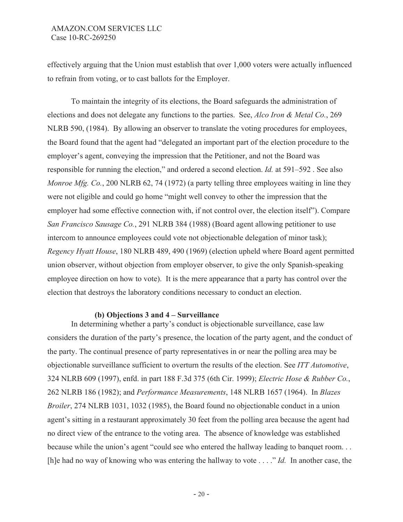effectively arguing that the Union must establish that over 1,000 voters were actually influenced to refrain from voting, or to cast ballots for the Employer.

To maintain the integrity of its elections, the Board safeguards the administration of elections and does not delegate any functions to the parties. See, *Alco Iron & Metal Co.*, 269 NLRB 590, (1984). By allowing an observer to translate the voting procedures for employees, the Board found that the agent had "delegated an important part of the election procedure to the employer's agent, conveying the impression that the Petitioner, and not the Board was responsible for running the election," and ordered a second election. *Id.* at 591–592 . See also *Monroe Mfg. Co.*, 200 NLRB 62, 74 (1972) (a party telling three employees waiting in line they were not eligible and could go home "might well convey to other the impression that the employer had some effective connection with, if not control over, the election itself"). Compare *San Francisco Sausage Co.*, 291 NLRB 384 (1988) (Board agent allowing petitioner to use intercom to announce employees could vote not objectionable delegation of minor task); *Regency Hyatt House*, 180 NLRB 489, 490 (1969) (election upheld where Board agent permitted union observer, without objection from employer observer, to give the only Spanish-speaking employee direction on how to vote). It is the mere appearance that a party has control over the election that destroys the laboratory conditions necessary to conduct an election.

### **(b) Objections 3 and 4 – Surveillance**

In determining whether a party's conduct is objectionable surveillance, case law considers the duration of the party's presence, the location of the party agent, and the conduct of the party. The continual presence of party representatives in or near the polling area may be objectionable surveillance sufficient to overturn the results of the election. See *ITT Automotive*, 324 NLRB 609 (1997), enfd. in part 188 F.3d 375 (6th Cir. 1999); *Electric Hose & Rubber Co.*, 262 NLRB 186 (1982); and *Performance Measurements*, 148 NLRB 1657 (1964). In *Blazes Broiler*, 274 NLRB 1031, 1032 (1985), the Board found no objectionable conduct in a union agent's sitting in a restaurant approximately 30 feet from the polling area because the agent had no direct view of the entrance to the voting area. The absence of knowledge was established because while the union's agent "could see who entered the hallway leading to banquet room. . . [h]e had no way of knowing who was entering the hallway to vote . . . ." *Id.* In another case, the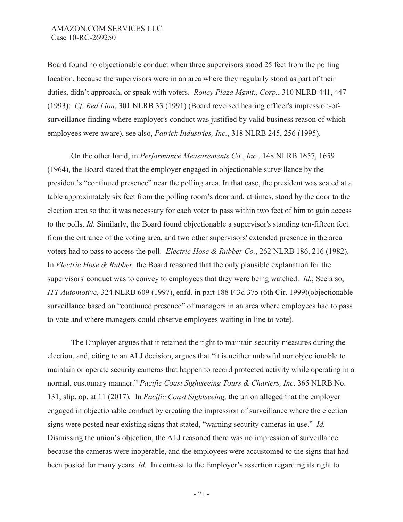Board found no objectionable conduct when three supervisors stood 25 feet from the polling location, because the supervisors were in an area where they regularly stood as part of their duties, didn't approach, or speak with voters. *Roney Plaza Mgmt., Corp.*, 310 NLRB 441, 447 (1993); *Cf. Red Lion*, 301 NLRB 33 (1991) (Board reversed hearing officer's impression-ofsurveillance finding where employer's conduct was justified by valid business reason of which employees were aware), see also, *Patrick Industries, Inc.*, 318 NLRB 245, 256 (1995).

On the other hand, in *Performance Measurements Co., Inc.*, 148 NLRB 1657, 1659 (1964), the Board stated that the employer engaged in objectionable surveillance by the president's "continued presence" near the polling area. In that case, the president was seated at a table approximately six feet from the polling room's door and, at times, stood by the door to the election area so that it was necessary for each voter to pass within two feet of him to gain access to the polls. *Id.* Similarly, the Board found objectionable a supervisor's standing ten-fifteen feet from the entrance of the voting area, and two other supervisors' extended presence in the area voters had to pass to access the poll. *Electric Hose & Rubber Co.*, 262 NLRB 186, 216 (1982). In *Electric Hose & Rubber,* the Board reasoned that the only plausible explanation for the supervisors' conduct was to convey to employees that they were being watched. *Id.*; See also, *ITT Automotive*, 324 NLRB 609 (1997), enfd. in part 188 F.3d 375 (6th Cir. 1999)(objectionable surveillance based on "continued presence" of managers in an area where employees had to pass to vote and where managers could observe employees waiting in line to vote).

The Employer argues that it retained the right to maintain security measures during the election, and, citing to an ALJ decision, argues that "it is neither unlawful nor objectionable to maintain or operate security cameras that happen to record protected activity while operating in a normal, customary manner." *Pacific Coast Sightseeing Tours & Charters, Inc*. 365 NLRB No. 131, slip. op. at 11 (2017)*.* In *Pacific Coast Sightseeing,* the union alleged that the employer engaged in objectionable conduct by creating the impression of surveillance where the election signs were posted near existing signs that stated, "warning security cameras in use." *Id.* Dismissing the union's objection, the ALJ reasoned there was no impression of surveillance because the cameras were inoperable, and the employees were accustomed to the signs that had been posted for many years. *Id.* In contrast to the Employer's assertion regarding its right to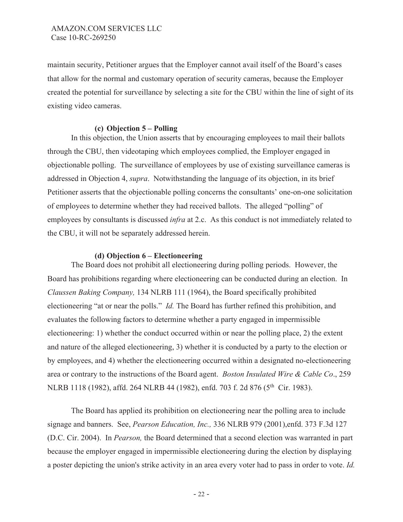maintain security, Petitioner argues that the Employer cannot avail itself of the Board's cases that allow for the normal and customary operation of security cameras, because the Employer created the potential for surveillance by selecting a site for the CBU within the line of sight of its existing video cameras.

## **(c) Objection 5 – Polling**

In this objection, the Union asserts that by encouraging employees to mail their ballots through the CBU, then videotaping which employees complied, the Employer engaged in objectionable polling. The surveillance of employees by use of existing surveillance cameras is addressed in Objection 4, *supra*. Notwithstanding the language of its objection, in its brief Petitioner asserts that the objectionable polling concerns the consultants' one-on-one solicitation of employees to determine whether they had received ballots. The alleged "polling" of employees by consultants is discussed *infra* at 2.c. As this conduct is not immediately related to the CBU, it will not be separately addressed herein.

### **(d) Objection 6 – Electioneering**

The Board does not prohibit all electioneering during polling periods. However, the Board has prohibitions regarding where electioneering can be conducted during an election. In *Claussen Baking Company,* 134 NLRB 111 (1964), the Board specifically prohibited electioneering "at or near the polls." *Id.* The Board has further refined this prohibition, and evaluates the following factors to determine whether a party engaged in impermissible electioneering: 1) whether the conduct occurred within or near the polling place, 2) the extent and nature of the alleged electioneering, 3) whether it is conducted by a party to the election or by employees, and 4) whether the electioneering occurred within a designated no-electioneering area or contrary to the instructions of the Board agent. *Boston Insulated Wire & Cable Co*., 259 NLRB 1118 (1982), affd. 264 NLRB 44 (1982), enfd. 703 f. 2d 876 (5<sup>th</sup> Cir. 1983).

The Board has applied its prohibition on electioneering near the polling area to include signage and banners. See, *Pearson Education, Inc.,* 336 NLRB 979 (2001),enfd. 373 F.3d 127 (D.C. Cir. 2004). In *Pearson,* the Board determined that a second election was warranted in part because the employer engaged in impermissible electioneering during the election by displaying a poster depicting the union's strike activity in an area every voter had to pass in order to vote. *Id.*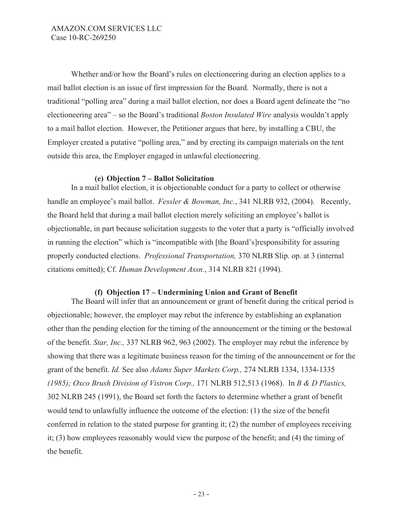Whether and/or how the Board's rules on electioneering during an election applies to a mail ballot election is an issue of first impression for the Board. Normally, there is not a traditional "polling area" during a mail ballot election, nor does a Board agent delineate the "no electioneering area" – so the Board's traditional *Boston Insulated Wire* analysis wouldn't apply to a mail ballot election. However, the Petitioner argues that here, by installing a CBU, the Employer created a putative "polling area," and by erecting its campaign materials on the tent outside this area, the Employer engaged in unlawful electioneering.

### **(e) Objection 7 – Ballot Solicitation**

In a mail ballot election, it is objectionable conduct for a party to collect or otherwise handle an employee's mail ballot. *Fessler & Bowman, Inc.*, 341 NLRB 932, (2004). Recently, the Board held that during a mail ballot election merely soliciting an employee's ballot is objectionable, in part because solicitation suggests to the voter that a party is "officially involved in running the election" which is "incompatible with [the Board's]responsibility for assuring properly conducted elections. *Professional Transportation,* 370 NLRB Slip. op. at 3 (internal citations omitted); Cf. *Human Development Assn.*, 314 NLRB 821 (1994).

## **(f) Objection 17 – Undermining Union and Grant of Benefit**

The Board will infer that an announcement or grant of benefit during the critical period is objectionable; however, the employer may rebut the inference by establishing an explanation other than the pending election for the timing of the announcement or the timing or the bestowal of the benefit. *Star, Inc.,* 337 NLRB 962, 963 (2002). The employer may rebut the inference by showing that there was a legitimate business reason for the timing of the announcement or for the grant of the benefit. *Id.* See also *Adams Super Markets Corp.,* 274 NLRB 1334, 1334-1335 *(1985); Oxco Brush Division of Vistron Corp.,* 171 NLRB 512,513 (1968). In *B & D Plastics,*  302 NLRB 245 (1991), the Board set forth the factors to determine whether a grant of benefit would tend to unlawfully influence the outcome of the election: (1) the size of the benefit conferred in relation to the stated purpose for granting it; (2) the number of employees receiving it; (3) how employees reasonably would view the purpose of the benefit; and (4) the timing of the benefit.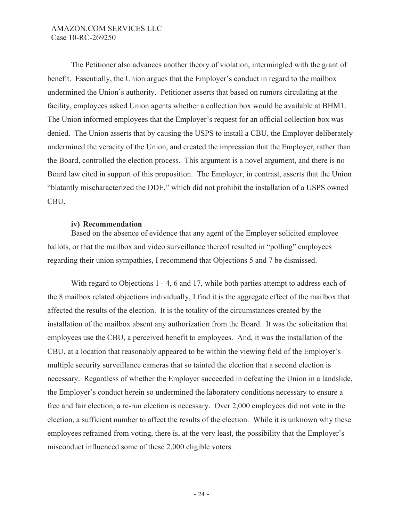The Petitioner also advances another theory of violation, intermingled with the grant of benefit. Essentially, the Union argues that the Employer's conduct in regard to the mailbox undermined the Union's authority. Petitioner asserts that based on rumors circulating at the facility, employees asked Union agents whether a collection box would be available at BHM1. The Union informed employees that the Employer's request for an official collection box was denied. The Union asserts that by causing the USPS to install a CBU, the Employer deliberately undermined the veracity of the Union, and created the impression that the Employer, rather than the Board, controlled the election process. This argument is a novel argument, and there is no Board law cited in support of this proposition. The Employer, in contrast, asserts that the Union "blatantly mischaracterized the DDE," which did not prohibit the installation of a USPS owned CBU.

### **iv) Recommendation**

Based on the absence of evidence that any agent of the Employer solicited employee ballots, or that the mailbox and video surveillance thereof resulted in "polling" employees regarding their union sympathies, I recommend that Objections 5 and 7 be dismissed.

With regard to Objections 1 - 4, 6 and 17, while both parties attempt to address each of the 8 mailbox related objections individually, I find it is the aggregate effect of the mailbox that affected the results of the election. It is the totality of the circumstances created by the installation of the mailbox absent any authorization from the Board. It was the solicitation that employees use the CBU, a perceived benefit to employees. And, it was the installation of the CBU, at a location that reasonably appeared to be within the viewing field of the Employer's multiple security surveillance cameras that so tainted the election that a second election is necessary. Regardless of whether the Employer succeeded in defeating the Union in a landslide, the Employer's conduct herein so undermined the laboratory conditions necessary to ensure a free and fair election, a re-run election is necessary. Over 2,000 employees did not vote in the election, a sufficient number to affect the results of the election. While it is unknown why these employees refrained from voting, there is, at the very least, the possibility that the Employer's misconduct influenced some of these 2,000 eligible voters.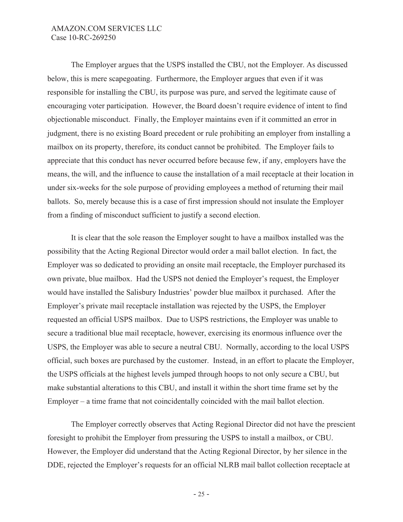The Employer argues that the USPS installed the CBU, not the Employer. As discussed below, this is mere scapegoating. Furthermore, the Employer argues that even if it was responsible for installing the CBU, its purpose was pure, and served the legitimate cause of encouraging voter participation. However, the Board doesn't require evidence of intent to find objectionable misconduct. Finally, the Employer maintains even if it committed an error in judgment, there is no existing Board precedent or rule prohibiting an employer from installing a mailbox on its property, therefore, its conduct cannot be prohibited. The Employer fails to appreciate that this conduct has never occurred before because few, if any, employers have the means, the will, and the influence to cause the installation of a mail receptacle at their location in under six-weeks for the sole purpose of providing employees a method of returning their mail ballots. So, merely because this is a case of first impression should not insulate the Employer from a finding of misconduct sufficient to justify a second election.

It is clear that the sole reason the Employer sought to have a mailbox installed was the possibility that the Acting Regional Director would order a mail ballot election. In fact, the Employer was so dedicated to providing an onsite mail receptacle, the Employer purchased its own private, blue mailbox. Had the USPS not denied the Employer's request, the Employer would have installed the Salisbury Industries' powder blue mailbox it purchased. After the Employer's private mail receptacle installation was rejected by the USPS, the Employer requested an official USPS mailbox. Due to USPS restrictions, the Employer was unable to secure a traditional blue mail receptacle, however, exercising its enormous influence over the USPS, the Employer was able to secure a neutral CBU. Normally, according to the local USPS official, such boxes are purchased by the customer. Instead, in an effort to placate the Employer, the USPS officials at the highest levels jumped through hoops to not only secure a CBU, but make substantial alterations to this CBU, and install it within the short time frame set by the Employer – a time frame that not coincidentally coincided with the mail ballot election.

The Employer correctly observes that Acting Regional Director did not have the prescient foresight to prohibit the Employer from pressuring the USPS to install a mailbox, or CBU. However, the Employer did understand that the Acting Regional Director, by her silence in the DDE, rejected the Employer's requests for an official NLRB mail ballot collection receptacle at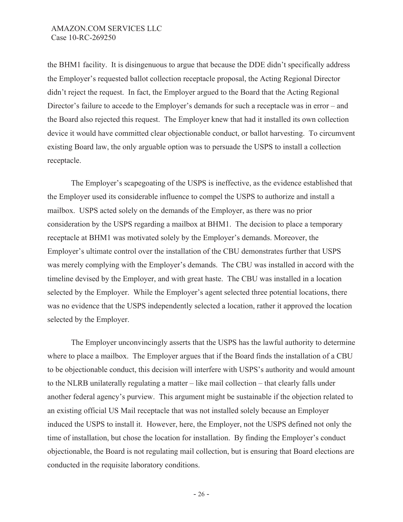the BHM1 facility. It is disingenuous to argue that because the DDE didn't specifically address the Employer's requested ballot collection receptacle proposal, the Acting Regional Director didn't reject the request. In fact, the Employer argued to the Board that the Acting Regional Director's failure to accede to the Employer's demands for such a receptacle was in error – and the Board also rejected this request. The Employer knew that had it installed its own collection device it would have committed clear objectionable conduct, or ballot harvesting. To circumvent existing Board law, the only arguable option was to persuade the USPS to install a collection receptacle.

The Employer's scapegoating of the USPS is ineffective, as the evidence established that the Employer used its considerable influence to compel the USPS to authorize and install a mailbox. USPS acted solely on the demands of the Employer, as there was no prior consideration by the USPS regarding a mailbox at BHM1. The decision to place a temporary receptacle at BHM1 was motivated solely by the Employer's demands. Moreover, the Employer's ultimate control over the installation of the CBU demonstrates further that USPS was merely complying with the Employer's demands. The CBU was installed in accord with the timeline devised by the Employer, and with great haste. The CBU was installed in a location selected by the Employer. While the Employer's agent selected three potential locations, there was no evidence that the USPS independently selected a location, rather it approved the location selected by the Employer.

The Employer unconvincingly asserts that the USPS has the lawful authority to determine where to place a mailbox. The Employer argues that if the Board finds the installation of a CBU to be objectionable conduct, this decision will interfere with USPS's authority and would amount to the NLRB unilaterally regulating a matter – like mail collection – that clearly falls under another federal agency's purview. This argument might be sustainable if the objection related to an existing official US Mail receptacle that was not installed solely because an Employer induced the USPS to install it. However, here, the Employer, not the USPS defined not only the time of installation, but chose the location for installation. By finding the Employer's conduct objectionable, the Board is not regulating mail collection, but is ensuring that Board elections are conducted in the requisite laboratory conditions.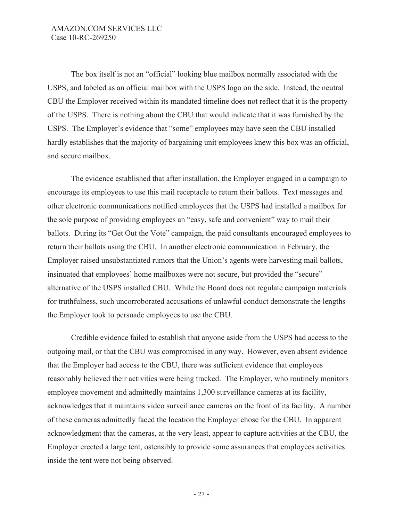The box itself is not an "official" looking blue mailbox normally associated with the USPS, and labeled as an official mailbox with the USPS logo on the side. Instead, the neutral CBU the Employer received within its mandated timeline does not reflect that it is the property of the USPS. There is nothing about the CBU that would indicate that it was furnished by the USPS. The Employer's evidence that "some" employees may have seen the CBU installed hardly establishes that the majority of bargaining unit employees knew this box was an official, and secure mailbox.

The evidence established that after installation, the Employer engaged in a campaign to encourage its employees to use this mail receptacle to return their ballots. Text messages and other electronic communications notified employees that the USPS had installed a mailbox for the sole purpose of providing employees an "easy, safe and convenient" way to mail their ballots. During its "Get Out the Vote" campaign, the paid consultants encouraged employees to return their ballots using the CBU. In another electronic communication in February, the Employer raised unsubstantiated rumors that the Union's agents were harvesting mail ballots, insinuated that employees' home mailboxes were not secure, but provided the "secure" alternative of the USPS installed CBU. While the Board does not regulate campaign materials for truthfulness, such uncorroborated accusations of unlawful conduct demonstrate the lengths the Employer took to persuade employees to use the CBU.

Credible evidence failed to establish that anyone aside from the USPS had access to the outgoing mail, or that the CBU was compromised in any way. However, even absent evidence that the Employer had access to the CBU, there was sufficient evidence that employees reasonably believed their activities were being tracked. The Employer, who routinely monitors employee movement and admittedly maintains 1,300 surveillance cameras at its facility, acknowledges that it maintains video surveillance cameras on the front of its facility. A number of these cameras admittedly faced the location the Employer chose for the CBU. In apparent acknowledgment that the cameras, at the very least, appear to capture activities at the CBU, the Employer erected a large tent, ostensibly to provide some assurances that employees activities inside the tent were not being observed.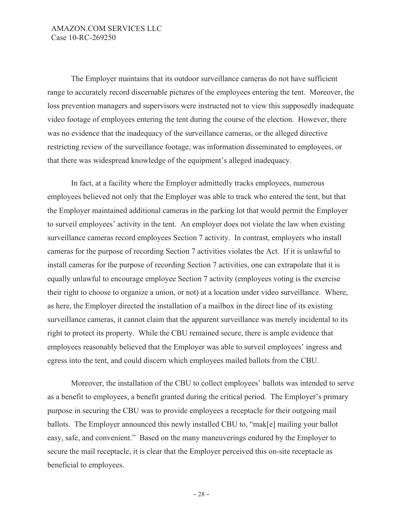The Employer maintains that its outdoor surveillance cameras do not have sufficient range to accurately record discernable pictures of the employees entering the tent. Moreover, the loss prevention managers and supervisors were instructed not to view this supposedly inadequate video footage of employees entering the tent during the course of the election. However, there was no evidence that the inadequacy of the surveillance cameras, or the alleged directive restricting review of the surveillance footage, was information disseminated to employees, or that there was widespread knowledge of the equipment's alleged inadequacy.

In fact, at a facility where the Employer admittedly tracks employees, numerous employees believed not only that the Employer was able to track who entered the tent, but that the Employer maintained additional cameras in the parking lot that would permit the Employer to surveil employees' activity in the tent. An employer does not violate the law when existing surveillance cameras record employees Section 7 activity. In contrast, employers who install cameras for the purpose of recording Section 7 activities violates the Act. If it is unlawful to install cameras for the purpose of recording Section 7 activities, one can extrapolate that it is equally unlawful to encourage employee Section 7 activity (employees voting is the exercise their right to choose to organize a union, or not) at a location under video surveillance. Where, as here, the Employer directed the installation of a mailbox in the direct line of its existing surveillance cameras, it cannot claim that the apparent surveillance was merely incidental to its right to protect its property. While the CBU remained secure, there is ample evidence that employees reasonably believed that the Employer was able to surveil employees' ingress and egress into the tent, and could discern which employees mailed ballots from the CBU.

Moreover, the installation of the CBU to collect employees' ballots was intended to serve as a benefit to employees, a benefit granted during the critical period. The Employer's primary purpose in securing the CBU was to provide employees a receptacle for their outgoing mail ballots. The Employer announced this newly installed CBU to, "mak[e] mailing your ballot easy, safe, and convenient." Based on the many maneuverings endured by the Employer to secure the mail receptacle, it is clear that the Employer perceived this on-site receptacle as beneficial to employees.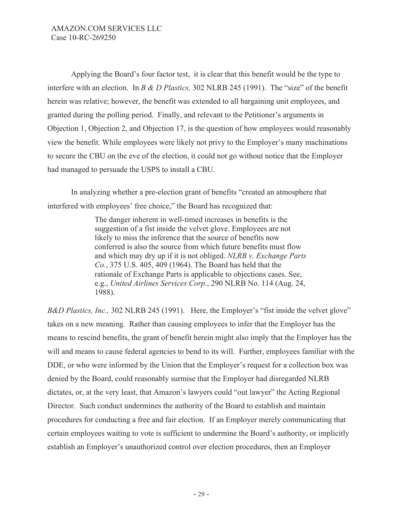Applying the Board's four factor test, it is clear that this benefit would be the type to interfere with an election. In *B & D Plastics,* 302 NLRB 245 (1991). The "size" of the benefit herein was relative; however, the benefit was extended to all bargaining unit employees, and granted during the polling period. Finally, and relevant to the Petitioner's arguments in Objection 1, Objection 2, and Objection 17, is the question of how employees would reasonably view the benefit. While employees were likely not privy to the Employer's many machinations to secure the CBU on the eve of the election, it could not go without notice that the Employer had managed to persuade the USPS to install a CBU.

In analyzing whether a pre-election grant of benefits "created an atmosphere that interfered with employees' free choice," the Board has recognized that:

> The danger inherent in well-timed increases in benefits is the suggestion of a fist inside the velvet glove. Employees are not likely to miss the inference that the source of benefits now conferred is also the source from which future benefits must flow and which may dry up if it is not obliged. *NLRB v. Exchange Parts Co.*, 375 U.S. 405, 409 (1964). The Board has held that the rationale of Exchange Parts is applicable to objections cases. See, e.g., *United Airlines Services Corp*., 290 NLRB No. 114 (Aug. 24, 1988).

*B&D Plastics, Inc.,* 302 NLRB 245 (1991). Here, the Employer's "fist inside the velvet glove" takes on a new meaning. Rather than causing employees to infer that the Employer has the means to rescind benefits, the grant of benefit herein might also imply that the Employer has the will and means to cause federal agencies to bend to its will. Further, employees familiar with the DDE, or who were informed by the Union that the Employer's request for a collection box was denied by the Board, could reasonably surmise that the Employer had disregarded NLRB dictates, or, at the very least, that Amazon's lawyers could "out lawyer" the Acting Regional Director. Such conduct undermines the authority of the Board to establish and maintain procedures for conducting a free and fair election. If an Employer merely communicating that certain employees waiting to vote is sufficient to undermine the Board's authority, or implicitly establish an Employer's unauthorized control over election procedures, then an Employer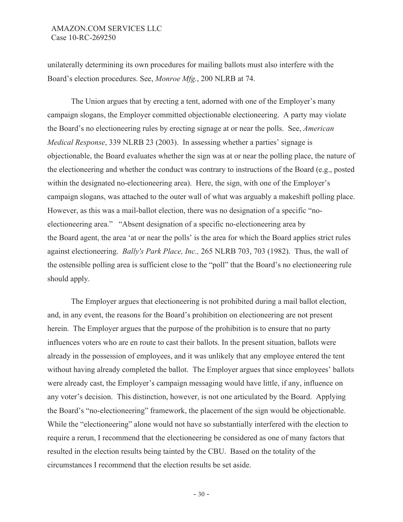unilaterally determining its own procedures for mailing ballots must also interfere with the Board's election procedures. See, *Monroe Mfg.*, 200 NLRB at 74.

 The Union argues that by erecting a tent, adorned with one of the Employer's many campaign slogans, the Employer committed objectionable electioneering. A party may violate the Board's no electioneering rules by erecting signage at or near the polls. See, *American Medical Response*, 339 NLRB 23 (2003). In assessing whether a parties' signage is objectionable, the Board evaluates whether the sign was at or near the polling place, the nature of the electioneering and whether the conduct was contrary to instructions of the Board (e.g., posted within the designated no-electioneering area). Here, the sign, with one of the Employer's campaign slogans, was attached to the outer wall of what was arguably a makeshift polling place. However, as this was a mail-ballot election, there was no designation of a specific "noelectioneering area." "Absent designation of a specific no-electioneering area by the Board agent, the area 'at or near the polls' is the area for which the Board applies strict rules against electioneering. *Bally's Park Place, Inc.,* 265 NLRB 703, 703 (1982). Thus, the wall of the ostensible polling area is sufficient close to the "poll" that the Board's no electioneering rule should apply.

The Employer argues that electioneering is not prohibited during a mail ballot election, and, in any event, the reasons for the Board's prohibition on electioneering are not present herein. The Employer argues that the purpose of the prohibition is to ensure that no party influences voters who are en route to cast their ballots. In the present situation, ballots were already in the possession of employees, and it was unlikely that any employee entered the tent without having already completed the ballot. The Employer argues that since employees' ballots were already cast, the Employer's campaign messaging would have little, if any, influence on any voter's decision. This distinction, however, is not one articulated by the Board. Applying the Board's "no-electioneering" framework, the placement of the sign would be objectionable. While the "electioneering" alone would not have so substantially interfered with the election to require a rerun, I recommend that the electioneering be considered as one of many factors that resulted in the election results being tainted by the CBU. Based on the totality of the circumstances I recommend that the election results be set aside.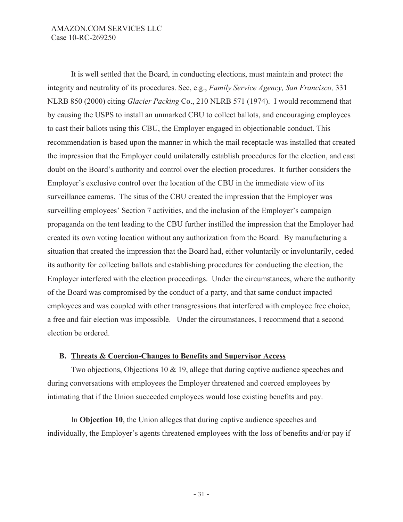It is well settled that the Board, in conducting elections, must maintain and protect the integrity and neutrality of its procedures. See, e.g., *Family Service Agency, San Francisco,* 331 NLRB 850 (2000) citing *Glacier Packing* Co., 210 NLRB 571 (1974). I would recommend that by causing the USPS to install an unmarked CBU to collect ballots, and encouraging employees to cast their ballots using this CBU, the Employer engaged in objectionable conduct. This recommendation is based upon the manner in which the mail receptacle was installed that created the impression that the Employer could unilaterally establish procedures for the election, and cast doubt on the Board's authority and control over the election procedures. It further considers the Employer's exclusive control over the location of the CBU in the immediate view of its surveillance cameras. The situs of the CBU created the impression that the Employer was surveilling employees' Section 7 activities, and the inclusion of the Employer's campaign propaganda on the tent leading to the CBU further instilled the impression that the Employer had created its own voting location without any authorization from the Board. By manufacturing a situation that created the impression that the Board had, either voluntarily or involuntarily, ceded its authority for collecting ballots and establishing procedures for conducting the election, the Employer interfered with the election proceedings. Under the circumstances, where the authority of the Board was compromised by the conduct of a party, and that same conduct impacted employees and was coupled with other transgressions that interfered with employee free choice, a free and fair election was impossible. Under the circumstances, I recommend that a second election be ordered.

## **B. Threats & Coercion-Changes to Benefits and Supervisor Access**

Two objections, Objections 10 & 19, allege that during captive audience speeches and during conversations with employees the Employer threatened and coerced employees by intimating that if the Union succeeded employees would lose existing benefits and pay.

In **Objection 10**, the Union alleges that during captive audience speeches and individually, the Employer's agents threatened employees with the loss of benefits and/or pay if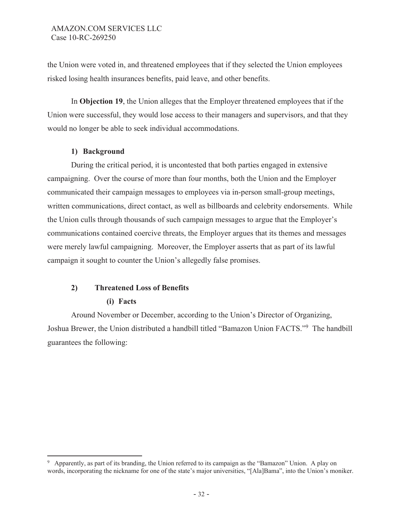the Union were voted in, and threatened employees that if they selected the Union employees risked losing health insurances benefits, paid leave, and other benefits.

In **Objection 19**, the Union alleges that the Employer threatened employees that if the Union were successful, they would lose access to their managers and supervisors, and that they would no longer be able to seek individual accommodations.

# **1) Background**

 During the critical period, it is uncontested that both parties engaged in extensive campaigning. Over the course of more than four months, both the Union and the Employer communicated their campaign messages to employees via in-person small-group meetings, written communications, direct contact, as well as billboards and celebrity endorsements. While the Union culls through thousands of such campaign messages to argue that the Employer's communications contained coercive threats, the Employer argues that its themes and messages were merely lawful campaigning. Moreover, the Employer asserts that as part of its lawful campaign it sought to counter the Union's allegedly false promises.

# **2) Threatened Loss of Benefits**

# **(i) Facts**

Around November or December, according to the Union's Director of Organizing, Joshua Brewer, the Union distributed a handbill titled "Bamazon Union FACTS."<sup>9</sup> The handbill guarantees the following:

<sup>9</sup> Apparently, as part of its branding, the Union referred to its campaign as the "Bamazon" Union. A play on words, incorporating the nickname for one of the state's major universities, "[Ala]Bama", into the Union's moniker.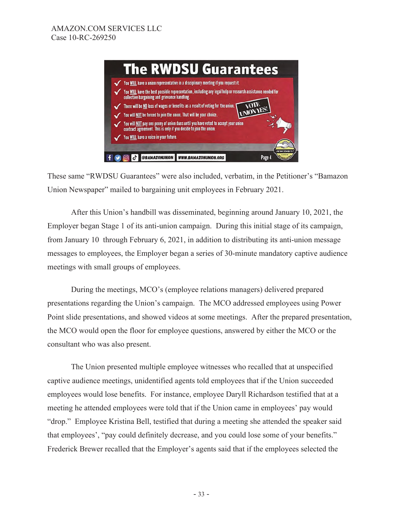

These same "RWDSU Guarantees" were also included, verbatim, in the Petitioner's "Bamazon Union Newspaper" mailed to bargaining unit employees in February 2021.

After this Union's handbill was disseminated, beginning around January 10, 2021, the Employer began Stage 1 of its anti-union campaign. During this initial stage of its campaign, from January 10 through February 6, 2021, in addition to distributing its anti-union message messages to employees, the Employer began a series of 30-minute mandatory captive audience meetings with small groups of employees.

During the meetings, MCO's (employee relations managers) delivered prepared presentations regarding the Union's campaign. The MCO addressed employees using Power Point slide presentations, and showed videos at some meetings. After the prepared presentation, the MCO would open the floor for employee questions, answered by either the MCO or the consultant who was also present.

 The Union presented multiple employee witnesses who recalled that at unspecified captive audience meetings, unidentified agents told employees that if the Union succeeded employees would lose benefits. For instance, employee Daryll Richardson testified that at a meeting he attended employees were told that if the Union came in employees' pay would "drop." Employee Kristina Bell, testified that during a meeting she attended the speaker said that employees', "pay could definitely decrease, and you could lose some of your benefits." Frederick Brewer recalled that the Employer's agents said that if the employees selected the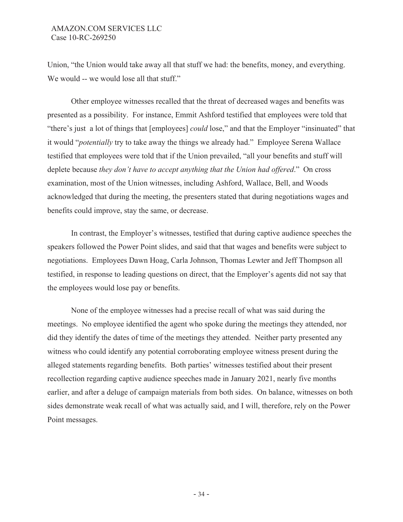Union, "the Union would take away all that stuff we had: the benefits, money, and everything. We would -- we would lose all that stuff."

 Other employee witnesses recalled that the threat of decreased wages and benefits was presented as a possibility. For instance, Emmit Ashford testified that employees were told that "there's just a lot of things that [employees] *could* lose," and that the Employer "insinuated" that it would "*potentially* try to take away the things we already had." Employee Serena Wallace testified that employees were told that if the Union prevailed, "all your benefits and stuff will deplete because *they don't have to accept anything that the Union had offered*." On cross examination, most of the Union witnesses, including Ashford, Wallace, Bell, and Woods acknowledged that during the meeting, the presenters stated that during negotiations wages and benefits could improve, stay the same, or decrease.

 In contrast, the Employer's witnesses, testified that during captive audience speeches the speakers followed the Power Point slides, and said that that wages and benefits were subject to negotiations. Employees Dawn Hoag, Carla Johnson, Thomas Lewter and Jeff Thompson all testified, in response to leading questions on direct, that the Employer's agents did not say that the employees would lose pay or benefits.

 None of the employee witnesses had a precise recall of what was said during the meetings. No employee identified the agent who spoke during the meetings they attended, nor did they identify the dates of time of the meetings they attended. Neither party presented any witness who could identify any potential corroborating employee witness present during the alleged statements regarding benefits. Both parties' witnesses testified about their present recollection regarding captive audience speeches made in January 2021, nearly five months earlier, and after a deluge of campaign materials from both sides. On balance, witnesses on both sides demonstrate weak recall of what was actually said, and I will, therefore, rely on the Power Point messages.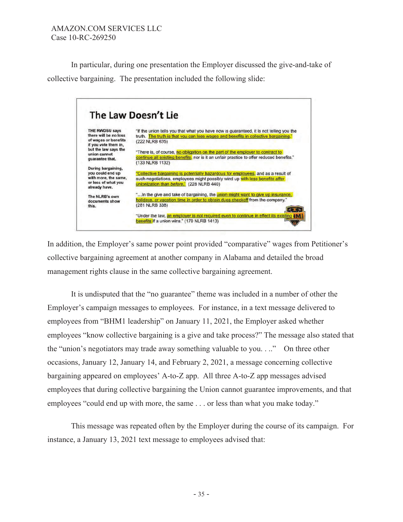In particular, during one presentation the Employer discussed the give-and-take of collective bargaining. The presentation included the following slide:



In addition, the Employer's same power point provided "comparative" wages from Petitioner's collective bargaining agreement at another company in Alabama and detailed the broad management rights clause in the same collective bargaining agreement.

It is undisputed that the "no guarantee" theme was included in a number of other the Employer's campaign messages to employees. For instance, in a text message delivered to employees from "BHM1 leadership" on January 11, 2021, the Employer asked whether employees "know collective bargaining is a give and take process?" The message also stated that the "union's negotiators may trade away something valuable to you. . .." On three other occasions, January 12, January 14, and February 2, 2021, a message concerning collective bargaining appeared on employees' A-to-Z app. All three A-to-Z app messages advised employees that during collective bargaining the Union cannot guarantee improvements, and that employees "could end up with more, the same . . . or less than what you make today."

 This message was repeated often by the Employer during the course of its campaign. For instance, a January 13, 2021 text message to employees advised that: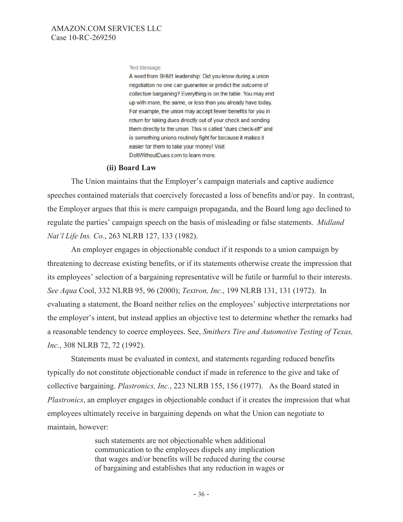#### **Text Message**

A word from BHM1 leadership: Did you know during a union negotiation no one can guarantee or predict the outcome of collective bargaining? Everything is on the table. You may end up with more, the same, or less than you already have today. For example, the union may accept fewer benefits for you in return for taking dues directly out of your check and sending them directly to the union. This is called "dues check-off" and is something unions routinely fight for because it makes it easier for them to take your money! Visit DoltWithoutDues.com to learn more.

### **(ii) Board Law**

The Union maintains that the Employer's campaign materials and captive audience speeches contained materials that coercively forecasted a loss of benefits and/or pay. In contrast, the Employer argues that this is mere campaign propaganda, and the Board long ago declined to regulate the parties' campaign speech on the basis of misleading or false statements. *Midland Nat'l Life Ins. Co.*, 263 NLRB 127, 133 (1982).

An employer engages in objectionable conduct if it responds to a union campaign by threatening to decrease existing benefits, or if its statements otherwise create the impression that its employees' selection of a bargaining representative will be futile or harmful to their interests. *See Aqua* Cool, 332 NLRB 95, 96 (2000); *Textron, Inc.*, 199 NLRB 131, 131 (1972). In evaluating a statement, the Board neither relies on the employees' subjective interpretations nor the employer's intent, but instead applies an objective test to determine whether the remarks had a reasonable tendency to coerce employees. See, *Smithers Tire and Automotive Testing of Texas, Inc.*, 308 NLRB 72, 72 (1992).

Statements must be evaluated in context, and statements regarding reduced benefits typically do not constitute objectionable conduct if made in reference to the give and take of collective bargaining. *Plastronics, Inc.*, 223 NLRB 155, 156 (1977). As the Board stated in *Plastronics*, an employer engages in objectionable conduct if it creates the impression that what employees ultimately receive in bargaining depends on what the Union can negotiate to maintain, however:

> such statements are not objectionable when additional communication to the employees dispels any implication that wages and/or benefits will be reduced during the course of bargaining and establishes that any reduction in wages or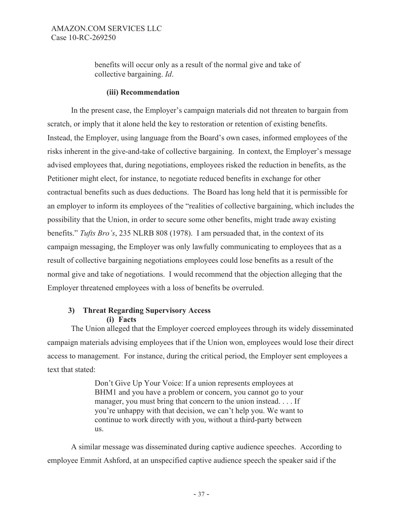benefits will occur only as a result of the normal give and take of collective bargaining. *Id*.

### **(iii) Recommendation**

In the present case, the Employer's campaign materials did not threaten to bargain from scratch, or imply that it alone held the key to restoration or retention of existing benefits. Instead, the Employer, using language from the Board's own cases, informed employees of the risks inherent in the give-and-take of collective bargaining. In context, the Employer's message advised employees that, during negotiations, employees risked the reduction in benefits, as the Petitioner might elect, for instance, to negotiate reduced benefits in exchange for other contractual benefits such as dues deductions. The Board has long held that it is permissible for an employer to inform its employees of the "realities of collective bargaining, which includes the possibility that the Union, in order to secure some other benefits, might trade away existing benefits." *Tufts Bro's*, 235 NLRB 808 (1978). I am persuaded that, in the context of its campaign messaging, the Employer was only lawfully communicating to employees that as a result of collective bargaining negotiations employees could lose benefits as a result of the normal give and take of negotiations. I would recommend that the objection alleging that the Employer threatened employees with a loss of benefits be overruled.

## **3) Threat Regarding Supervisory Access (i) Facts**

The Union alleged that the Employer coerced employees through its widely disseminated campaign materials advising employees that if the Union won, employees would lose their direct access to management. For instance, during the critical period, the Employer sent employees a text that stated:

> Don't Give Up Your Voice: If a union represents employees at BHM1 and you have a problem or concern, you cannot go to your manager, you must bring that concern to the union instead. . . . If you're unhappy with that decision, we can't help you. We want to continue to work directly with you, without a third-party between us.

A similar message was disseminated during captive audience speeches. According to employee Emmit Ashford, at an unspecified captive audience speech the speaker said if the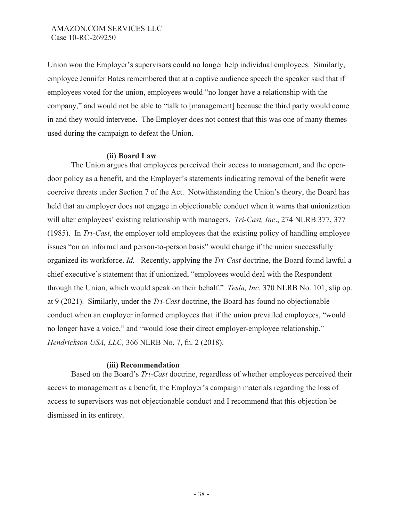Union won the Employer's supervisors could no longer help individual employees. Similarly, employee Jennifer Bates remembered that at a captive audience speech the speaker said that if employees voted for the union, employees would "no longer have a relationship with the company," and would not be able to "talk to [management] because the third party would come in and they would intervene. The Employer does not contest that this was one of many themes used during the campaign to defeat the Union.

### **(ii) Board Law**

The Union argues that employees perceived their access to management, and the opendoor policy as a benefit, and the Employer's statements indicating removal of the benefit were coercive threats under Section 7 of the Act. Notwithstanding the Union's theory, the Board has held that an employer does not engage in objectionable conduct when it warns that unionization will alter employees' existing relationship with managers. *Tri-Cast, Inc*., 274 NLRB 377, 377 (1985). In *Tri-Cast*, the employer told employees that the existing policy of handling employee issues "on an informal and person-to-person basis" would change if the union successfully organized its workforce. *Id.* Recently, applying the *Tri-Cast* doctrine, the Board found lawful a chief executive's statement that if unionized, "employees would deal with the Respondent through the Union, which would speak on their behalf." *Tesla, Inc.* 370 NLRB No. 101, slip op. at 9 (2021). Similarly, under the *Tri-Cast* doctrine, the Board has found no objectionable conduct when an employer informed employees that if the union prevailed employees, "would no longer have a voice," and "would lose their direct employer-employee relationship." *Hendrickson USA, LLC,* 366 NLRB No. 7, fn. 2 (2018).

### **(iii) Recommendation**

Based on the Board's *Tri-Cast* doctrine, regardless of whether employees perceived their access to management as a benefit, the Employer's campaign materials regarding the loss of access to supervisors was not objectionable conduct and I recommend that this objection be dismissed in its entirety.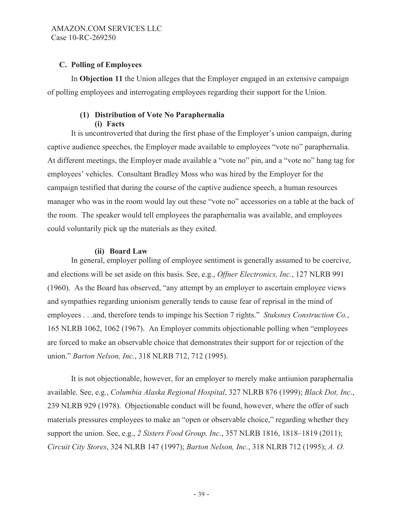# **C. Polling of Employees**

In **Objection 11** the Union alleges that the Employer engaged in an extensive campaign of polling employees and interrogating employees regarding their support for the Union.

## **(1) Distribution of Vote No Paraphernalia (i) Facts**

 It is uncontroverted that during the first phase of the Employer's union campaign, during captive audience speeches, the Employer made available to employees "vote no" paraphernalia. At different meetings, the Employer made available a "vote no" pin, and a "vote no" hang tag for employees' vehicles. Consultant Bradley Moss who was hired by the Employer for the campaign testified that during the course of the captive audience speech, a human resources manager who was in the room would lay out these "vote no" accessories on a table at the back of the room. The speaker would tell employees the paraphernalia was available, and employees could voluntarily pick up the materials as they exited.

## **(ii) Board Law**

In general, employer polling of employee sentiment is generally assumed to be coercive, and elections will be set aside on this basis. See, e.g., *Offner Electronics, Inc.*, 127 NLRB 991 (1960). As the Board has observed, "any attempt by an employer to ascertain employee views and sympathies regarding unionism generally tends to cause fear of reprisal in the mind of employees . . .and, therefore tends to impinge his Section 7 rights." *Stuksnes Construction Co.*, 165 NLRB 1062, 1062 (1967). An Employer commits objectionable polling when "employees are forced to make an observable choice that demonstrates their support for or rejection of the union." *Barton Nelson, Inc.*, 318 NLRB 712, 712 (1995).

It is not objectionable, however, for an employer to merely make antiunion paraphernalia available. See, e.g*.*, *Columbia Alaska Regional Hospital*, 327 NLRB 876 (1999); *Black Dot, Inc*., 239 NLRB 929 (1978). Objectionable conduct will be found, however, where the offer of such materials pressures employees to make an "open or observable choice," regarding whether they support the union. See, e.g., *2 Sisters Food Group, Inc*., 357 NLRB 1816, 1818–1819 (2011); *Circuit City Stores*, 324 NLRB 147 (1997); *Barton Nelson, Inc.*, 318 NLRB 712 (1995); *A. O.*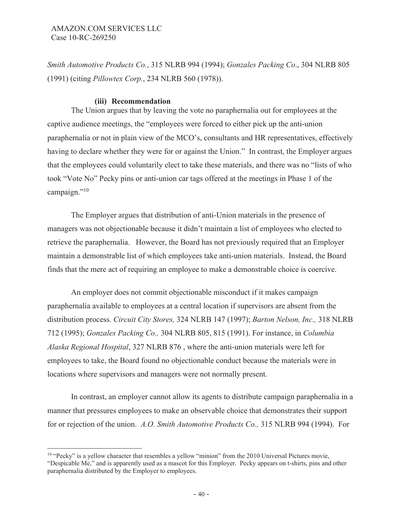*Smith Automotive Products Co.*, 315 NLRB 994 (1994); *Gonzales Packing Co*., 304 NLRB 805 (1991) (citing *Pillowtex Corp.*, 234 NLRB 560 (1978)).

### **(iii) Recommendation**

The Union argues that by leaving the vote no paraphernalia out for employees at the captive audience meetings, the "employees were forced to either pick up the anti-union paraphernalia or not in plain view of the MCO's, consultants and HR representatives, effectively having to declare whether they were for or against the Union." In contrast, the Employer argues that the employees could voluntarily elect to take these materials, and there was no "lists of who took "Vote No" Pecky pins or anti-union car tags offered at the meetings in Phase 1 of the campaign."<sup>10</sup>

The Employer argues that distribution of anti-Union materials in the presence of managers was not objectionable because it didn't maintain a list of employees who elected to retrieve the paraphernalia. However, the Board has not previously required that an Employer maintain a demonstrable list of which employees take anti-union materials. Instead, the Board finds that the mere act of requiring an employee to make a demonstrable choice is coercive.

An employer does not commit objectionable misconduct if it makes campaign paraphernalia available to employees at a central location if supervisors are absent from the distribution process. *Circuit City Stores,* 324 NLRB 147 (1997); *Barton Nelson, Inc.,* 318 NLRB 712 (1995); *Gonzales Packing Co.,* 304 NLRB 805, 815 (1991). For instance, in *Columbia Alaska Regional Hospital*, 327 NLRB 876 , where the anti-union materials were left for employees to take, the Board found no objectionable conduct because the materials were in locations where supervisors and managers were not normally present.

In contrast, an employer cannot allow its agents to distribute campaign paraphernalia in a manner that pressures employees to make an observable choice that demonstrates their support for or rejection of the union. *A.O. Smith Automotive Products Co.,* 315 NLRB 994 (1994). For

 $10$  "Pecky" is a yellow character that resembles a yellow "minion" from the 2010 Universal Pictures movie, "Despicable Me," and is apparently used as a mascot for this Employer. Pecky appears on t-shirts, pins and other paraphernalia distributed by the Employer to employees.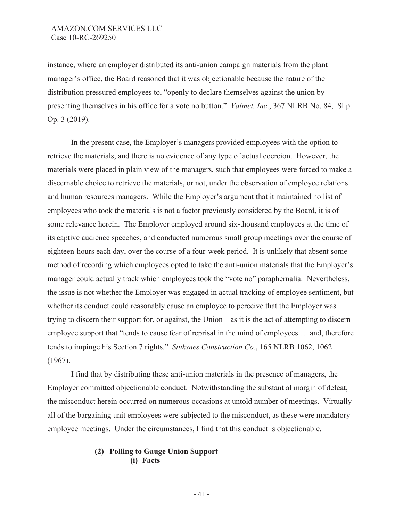instance, where an employer distributed its anti-union campaign materials from the plant manager's office, the Board reasoned that it was objectionable because the nature of the distribution pressured employees to, "openly to declare themselves against the union by presenting themselves in his office for a vote no button." *Valmet, Inc*., 367 NLRB No. 84, Slip. Op. 3 (2019).

In the present case, the Employer's managers provided employees with the option to retrieve the materials, and there is no evidence of any type of actual coercion. However, the materials were placed in plain view of the managers, such that employees were forced to make a discernable choice to retrieve the materials, or not, under the observation of employee relations and human resources managers. While the Employer's argument that it maintained no list of employees who took the materials is not a factor previously considered by the Board, it is of some relevance herein. The Employer employed around six-thousand employees at the time of its captive audience speeches, and conducted numerous small group meetings over the course of eighteen-hours each day, over the course of a four-week period. It is unlikely that absent some method of recording which employees opted to take the anti-union materials that the Employer's manager could actually track which employees took the "vote no" paraphernalia. Nevertheless, the issue is not whether the Employer was engaged in actual tracking of employee sentiment, but whether its conduct could reasonably cause an employee to perceive that the Employer was trying to discern their support for, or against, the Union – as it is the act of attempting to discern employee support that "tends to cause fear of reprisal in the mind of employees . . .and, therefore tends to impinge his Section 7 rights." *Stuksnes Construction Co.*, 165 NLRB 1062, 1062 (1967).

 I find that by distributing these anti-union materials in the presence of managers, the Employer committed objectionable conduct. Notwithstanding the substantial margin of defeat, the misconduct herein occurred on numerous occasions at untold number of meetings. Virtually all of the bargaining unit employees were subjected to the misconduct, as these were mandatory employee meetings. Under the circumstances, I find that this conduct is objectionable.

## **(2) Polling to Gauge Union Support (i) Facts**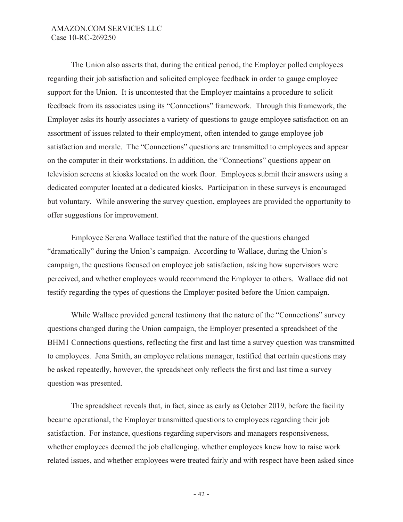The Union also asserts that, during the critical period, the Employer polled employees regarding their job satisfaction and solicited employee feedback in order to gauge employee support for the Union. It is uncontested that the Employer maintains a procedure to solicit feedback from its associates using its "Connections" framework. Through this framework, the Employer asks its hourly associates a variety of questions to gauge employee satisfaction on an assortment of issues related to their employment, often intended to gauge employee job satisfaction and morale. The "Connections" questions are transmitted to employees and appear on the computer in their workstations. In addition, the "Connections" questions appear on television screens at kiosks located on the work floor. Employees submit their answers using a dedicated computer located at a dedicated kiosks. Participation in these surveys is encouraged but voluntary. While answering the survey question, employees are provided the opportunity to offer suggestions for improvement.

Employee Serena Wallace testified that the nature of the questions changed "dramatically" during the Union's campaign. According to Wallace, during the Union's campaign, the questions focused on employee job satisfaction, asking how supervisors were perceived, and whether employees would recommend the Employer to others. Wallace did not testify regarding the types of questions the Employer posited before the Union campaign.

While Wallace provided general testimony that the nature of the "Connections" survey questions changed during the Union campaign, the Employer presented a spreadsheet of the BHM1 Connections questions, reflecting the first and last time a survey question was transmitted to employees. Jena Smith, an employee relations manager, testified that certain questions may be asked repeatedly, however, the spreadsheet only reflects the first and last time a survey question was presented.

The spreadsheet reveals that, in fact, since as early as October 2019, before the facility became operational, the Employer transmitted questions to employees regarding their job satisfaction. For instance, questions regarding supervisors and managers responsiveness, whether employees deemed the job challenging, whether employees knew how to raise work related issues, and whether employees were treated fairly and with respect have been asked since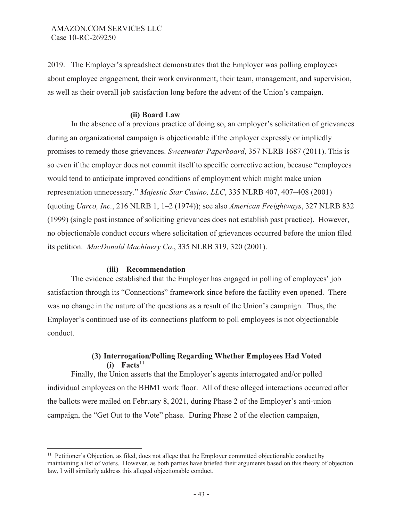2019. The Employer's spreadsheet demonstrates that the Employer was polling employees about employee engagement, their work environment, their team, management, and supervision, as well as their overall job satisfaction long before the advent of the Union's campaign.

### **(ii) Board Law**

In the absence of a previous practice of doing so, an employer's solicitation of grievances during an organizational campaign is objectionable if the employer expressly or impliedly promises to remedy those grievances. *Sweetwater Paperboard*, 357 NLRB 1687 (2011). This is so even if the employer does not commit itself to specific corrective action, because "employees would tend to anticipate improved conditions of employment which might make union representation unnecessary." *Majestic Star Casino, LLC*, 335 NLRB 407, 407–408 (2001) (quoting *Uarco, Inc.*, 216 NLRB 1, 1–2 (1974)); see also *American Freightways*, 327 NLRB 832 (1999) (single past instance of soliciting grievances does not establish past practice). However, no objectionable conduct occurs where solicitation of grievances occurred before the union filed its petition. *MacDonald Machinery Co*., 335 NLRB 319, 320 (2001).

### **(iii) Recommendation**

The evidence established that the Employer has engaged in polling of employees' job satisfaction through its "Connections" framework since before the facility even opened. There was no change in the nature of the questions as a result of the Union's campaign. Thus, the Employer's continued use of its connections platform to poll employees is not objectionable conduct.

## **(3) Interrogation/Polling Regarding Whether Employees Had Voted**   $(i)$  **Facts**<sup>11</sup>

Finally, the Union asserts that the Employer's agents interrogated and/or polled individual employees on the BHM1 work floor. All of these alleged interactions occurred after the ballots were mailed on February 8, 2021, during Phase 2 of the Employer's anti-union campaign, the "Get Out to the Vote" phase. During Phase 2 of the election campaign,

<sup>&</sup>lt;sup>11</sup> Petitioner's Objection, as filed, does not allege that the Employer committed objectionable conduct by maintaining a list of voters. However, as both parties have briefed their arguments based on this theory of objection law, I will similarly address this alleged objectionable conduct.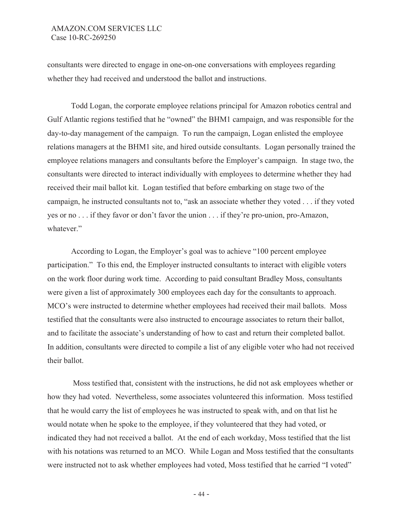consultants were directed to engage in one-on-one conversations with employees regarding whether they had received and understood the ballot and instructions.

Todd Logan, the corporate employee relations principal for Amazon robotics central and Gulf Atlantic regions testified that he "owned" the BHM1 campaign, and was responsible for the day-to-day management of the campaign. To run the campaign, Logan enlisted the employee relations managers at the BHM1 site, and hired outside consultants. Logan personally trained the employee relations managers and consultants before the Employer's campaign. In stage two, the consultants were directed to interact individually with employees to determine whether they had received their mail ballot kit. Logan testified that before embarking on stage two of the campaign, he instructed consultants not to, "ask an associate whether they voted . . . if they voted yes or no . . . if they favor or don't favor the union . . . if they're pro-union, pro-Amazon, whatever."

According to Logan, the Employer's goal was to achieve "100 percent employee participation." To this end, the Employer instructed consultants to interact with eligible voters on the work floor during work time. According to paid consultant Bradley Moss, consultants were given a list of approximately 300 employees each day for the consultants to approach. MCO's were instructed to determine whether employees had received their mail ballots. Moss testified that the consultants were also instructed to encourage associates to return their ballot, and to facilitate the associate's understanding of how to cast and return their completed ballot. In addition, consultants were directed to compile a list of any eligible voter who had not received their ballot.

 Moss testified that, consistent with the instructions, he did not ask employees whether or how they had voted. Nevertheless, some associates volunteered this information. Moss testified that he would carry the list of employees he was instructed to speak with, and on that list he would notate when he spoke to the employee, if they volunteered that they had voted, or indicated they had not received a ballot. At the end of each workday, Moss testified that the list with his notations was returned to an MCO. While Logan and Moss testified that the consultants were instructed not to ask whether employees had voted, Moss testified that he carried "I voted"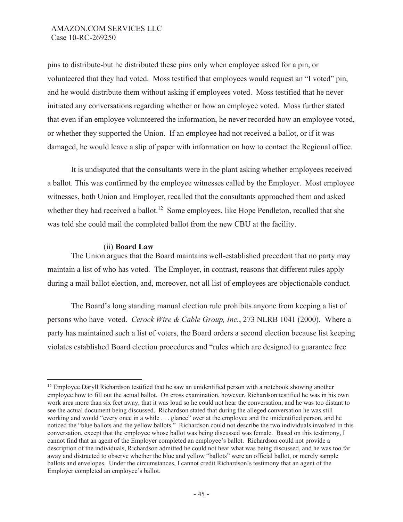pins to distribute-but he distributed these pins only when employee asked for a pin, or volunteered that they had voted. Moss testified that employees would request an "I voted" pin, and he would distribute them without asking if employees voted. Moss testified that he never initiated any conversations regarding whether or how an employee voted. Moss further stated that even if an employee volunteered the information, he never recorded how an employee voted, or whether they supported the Union. If an employee had not received a ballot, or if it was damaged, he would leave a slip of paper with information on how to contact the Regional office.

It is undisputed that the consultants were in the plant asking whether employees received a ballot. This was confirmed by the employee witnesses called by the Employer. Most employee witnesses, both Union and Employer, recalled that the consultants approached them and asked whether they had received a ballot.<sup>12</sup> Some employees, like Hope Pendleton, recalled that she was told she could mail the completed ballot from the new CBU at the facility.

## (ii) **Board Law**

The Union argues that the Board maintains well-established precedent that no party may maintain a list of who has voted. The Employer, in contrast, reasons that different rules apply during a mail ballot election, and, moreover, not all list of employees are objectionable conduct.

The Board's long standing manual election rule prohibits anyone from keeping a list of persons who have voted. *Cerock Wire & Cable Group, Inc.*, 273 NLRB 1041 (2000). Where a party has maintained such a list of voters, the Board orders a second election because list keeping violates established Board election procedures and "rules which are designed to guarantee free

<sup>&</sup>lt;sup>12</sup> Employee Daryll Richardson testified that he saw an unidentified person with a notebook showing another employee how to fill out the actual ballot. On cross examination, however, Richardson testified he was in his own work area more than six feet away, that it was loud so he could not hear the conversation, and he was too distant to see the actual document being discussed. Richardson stated that during the alleged conversation he was still working and would "every once in a while . . . glance" over at the employee and the unidentified person, and he noticed the "blue ballots and the yellow ballots." Richardson could not describe the two individuals involved in this conversation, except that the employee whose ballot was being discussed was female. Based on this testimony, I cannot find that an agent of the Employer completed an employee's ballot. Richardson could not provide a description of the individuals, Richardson admitted he could not hear what was being discussed, and he was too far away and distracted to observe whether the blue and yellow "ballots" were an official ballot, or merely sample ballots and envelopes. Under the circumstances, I cannot credit Richardson's testimony that an agent of the Employer completed an employee's ballot.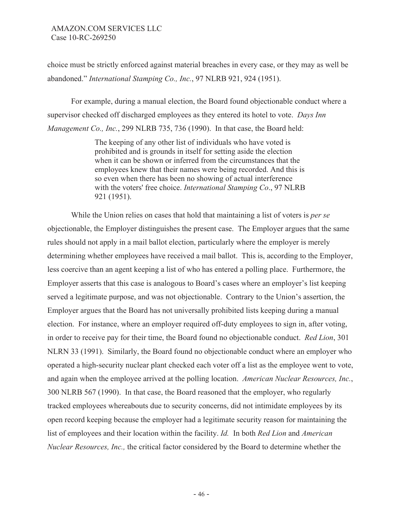choice must be strictly enforced against material breaches in every case, or they may as well be abandoned." *International Stamping Co., Inc.*, 97 NLRB 921, 924 (1951).

For example, during a manual election, the Board found objectionable conduct where a supervisor checked off discharged employees as they entered its hotel to vote. *Days Inn Management Co., Inc.*, 299 NLRB 735, 736 (1990). In that case, the Board held:

> The keeping of any other list of individuals who have voted is prohibited and is grounds in itself for setting aside the election when it can be shown or inferred from the circumstances that the employees knew that their names were being recorded. And this is so even when there has been no showing of actual interference with the voters' free choice. *International Stamping Co*., 97 NLRB 921 (1951).

 While the Union relies on cases that hold that maintaining a list of voters is *per se* objectionable, the Employer distinguishes the present case. The Employer argues that the same rules should not apply in a mail ballot election, particularly where the employer is merely determining whether employees have received a mail ballot. This is, according to the Employer, less coercive than an agent keeping a list of who has entered a polling place. Furthermore, the Employer asserts that this case is analogous to Board's cases where an employer's list keeping served a legitimate purpose, and was not objectionable. Contrary to the Union's assertion, the Employer argues that the Board has not universally prohibited lists keeping during a manual election. For instance, where an employer required off-duty employees to sign in, after voting, in order to receive pay for their time, the Board found no objectionable conduct. *Red Lion*, 301 NLRN 33 (1991). Similarly, the Board found no objectionable conduct where an employer who operated a high-security nuclear plant checked each voter off a list as the employee went to vote, and again when the employee arrived at the polling location. *American Nuclear Resources, Inc.*, 300 NLRB 567 (1990). In that case, the Board reasoned that the employer, who regularly tracked employees whereabouts due to security concerns, did not intimidate employees by its open record keeping because the employer had a legitimate security reason for maintaining the list of employees and their location within the facility. *Id.* In both *Red Lion* and *American Nuclear Resources, Inc.,* the critical factor considered by the Board to determine whether the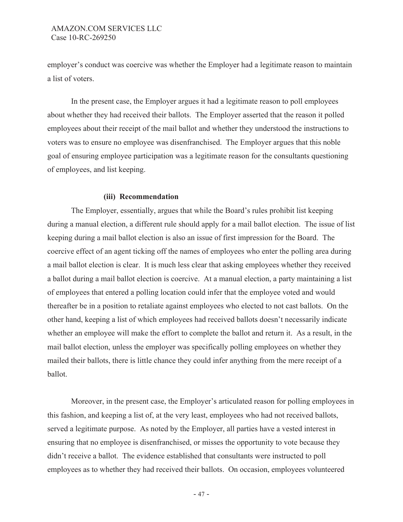employer's conduct was coercive was whether the Employer had a legitimate reason to maintain a list of voters.

In the present case, the Employer argues it had a legitimate reason to poll employees about whether they had received their ballots. The Employer asserted that the reason it polled employees about their receipt of the mail ballot and whether they understood the instructions to voters was to ensure no employee was disenfranchised. The Employer argues that this noble goal of ensuring employee participation was a legitimate reason for the consultants questioning of employees, and list keeping.

### **(iii) Recommendation**

The Employer, essentially, argues that while the Board's rules prohibit list keeping during a manual election, a different rule should apply for a mail ballot election. The issue of list keeping during a mail ballot election is also an issue of first impression for the Board. The coercive effect of an agent ticking off the names of employees who enter the polling area during a mail ballot election is clear. It is much less clear that asking employees whether they received a ballot during a mail ballot election is coercive. At a manual election, a party maintaining a list of employees that entered a polling location could infer that the employee voted and would thereafter be in a position to retaliate against employees who elected to not cast ballots. On the other hand, keeping a list of which employees had received ballots doesn't necessarily indicate whether an employee will make the effort to complete the ballot and return it. As a result, in the mail ballot election, unless the employer was specifically polling employees on whether they mailed their ballots, there is little chance they could infer anything from the mere receipt of a ballot.

Moreover, in the present case, the Employer's articulated reason for polling employees in this fashion, and keeping a list of, at the very least, employees who had not received ballots, served a legitimate purpose. As noted by the Employer, all parties have a vested interest in ensuring that no employee is disenfranchised, or misses the opportunity to vote because they didn't receive a ballot. The evidence established that consultants were instructed to poll employees as to whether they had received their ballots. On occasion, employees volunteered

- 47 -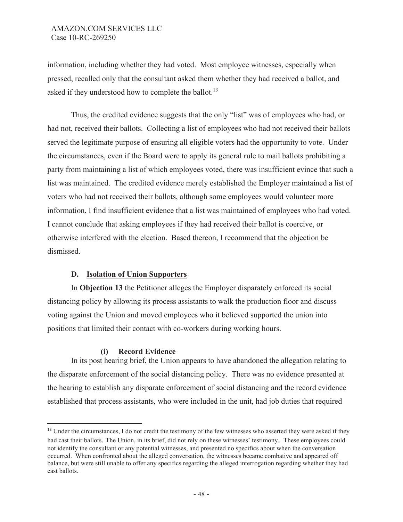information, including whether they had voted. Most employee witnesses, especially when pressed, recalled only that the consultant asked them whether they had received a ballot, and asked if they understood how to complete the ballot.<sup>13</sup>

Thus, the credited evidence suggests that the only "list" was of employees who had, or had not, received their ballots. Collecting a list of employees who had not received their ballots served the legitimate purpose of ensuring all eligible voters had the opportunity to vote. Under the circumstances, even if the Board were to apply its general rule to mail ballots prohibiting a party from maintaining a list of which employees voted, there was insufficient evince that such a list was maintained. The credited evidence merely established the Employer maintained a list of voters who had not received their ballots, although some employees would volunteer more information, I find insufficient evidence that a list was maintained of employees who had voted. I cannot conclude that asking employees if they had received their ballot is coercive, or otherwise interfered with the election. Based thereon, I recommend that the objection be dismissed.

## **D. Isolation of Union Supporters**

In **Objection 13** the Petitioner alleges the Employer disparately enforced its social distancing policy by allowing its process assistants to walk the production floor and discuss voting against the Union and moved employees who it believed supported the union into positions that limited their contact with co-workers during working hours.

## **(i) Record Evidence**

 In its post hearing brief, the Union appears to have abandoned the allegation relating to the disparate enforcement of the social distancing policy. There was no evidence presented at the hearing to establish any disparate enforcement of social distancing and the record evidence established that process assistants, who were included in the unit, had job duties that required

<sup>&</sup>lt;sup>13</sup> Under the circumstances, I do not credit the testimony of the few witnesses who asserted they were asked if they had cast their ballots. The Union, in its brief, did not rely on these witnesses' testimony. These employees could not identify the consultant or any potential witnesses, and presented no specifics about when the conversation occurred. When confronted about the alleged conversation, the witnesses became combative and appeared off balance, but were still unable to offer any specifics regarding the alleged interrogation regarding whether they had cast ballots.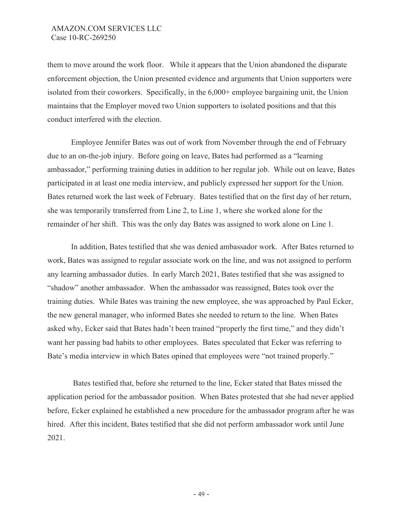them to move around the work floor. While it appears that the Union abandoned the disparate enforcement objection, the Union presented evidence and arguments that Union supporters were isolated from their coworkers. Specifically, in the  $6,000+$  employee bargaining unit, the Union maintains that the Employer moved two Union supporters to isolated positions and that this conduct interfered with the election.

Employee Jennifer Bates was out of work from November through the end of February due to an on-the-job injury. Before going on leave, Bates had performed as a "learning ambassador," performing training duties in addition to her regular job. While out on leave, Bates participated in at least one media interview, and publicly expressed her support for the Union. Bates returned work the last week of February. Bates testified that on the first day of her return, she was temporarily transferred from Line 2, to Line 1, where she worked alone for the remainder of her shift. This was the only day Bates was assigned to work alone on Line 1.

In addition, Bates testified that she was denied ambassador work. After Bates returned to work, Bates was assigned to regular associate work on the line, and was not assigned to perform any learning ambassador duties. In early March 2021, Bates testified that she was assigned to "shadow" another ambassador. When the ambassador was reassigned, Bates took over the training duties. While Bates was training the new employee, she was approached by Paul Ecker, the new general manager, who informed Bates she needed to return to the line. When Bates asked why, Ecker said that Bates hadn't been trained "properly the first time," and they didn't want her passing bad habits to other employees. Bates speculated that Ecker was referring to Bate's media interview in which Bates opined that employees were "not trained properly."

 Bates testified that, before she returned to the line, Ecker stated that Bates missed the application period for the ambassador position. When Bates protested that she had never applied before, Ecker explained he established a new procedure for the ambassador program after he was hired. After this incident, Bates testified that she did not perform ambassador work until June 2021.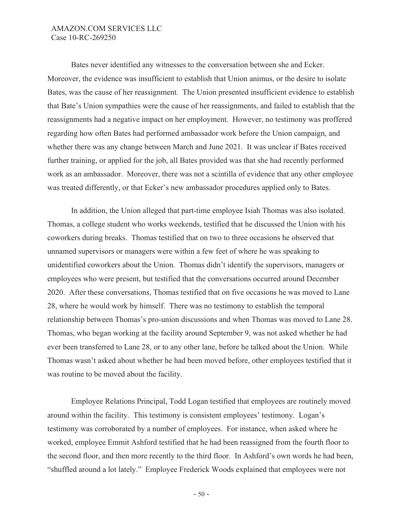Bates never identified any witnesses to the conversation between she and Ecker. Moreover, the evidence was insufficient to establish that Union animus, or the desire to isolate Bates, was the cause of her reassignment. The Union presented insufficient evidence to establish that Bate's Union sympathies were the cause of her reassignments, and failed to establish that the reassignments had a negative impact on her employment. However, no testimony was proffered regarding how often Bates had performed ambassador work before the Union campaign, and whether there was any change between March and June 2021. It was unclear if Bates received further training, or applied for the job, all Bates provided was that she had recently performed work as an ambassador. Moreover, there was not a scintilla of evidence that any other employee was treated differently, or that Ecker's new ambassador procedures applied only to Bates.

In addition, the Union alleged that part-time employee Isiah Thomas was also isolated. Thomas, a college student who works weekends, testified that he discussed the Union with his coworkers during breaks. Thomas testified that on two to three occasions he observed that unnamed supervisors or managers were within a few feet of where he was speaking to unidentified coworkers about the Union. Thomas didn't identify the supervisors, managers or employees who were present, but testified that the conversations occurred around December 2020. After these conversations, Thomas testified that on five occasions he was moved to Lane 28, where he would work by himself. There was no testimony to establish the temporal relationship between Thomas's pro-union discussions and when Thomas was moved to Lane 28. Thomas, who began working at the facility around September 9, was not asked whether he had ever been transferred to Lane 28, or to any other lane, before he talked about the Union. While Thomas wasn't asked about whether he had been moved before, other employees testified that it was routine to be moved about the facility.

Employee Relations Principal, Todd Logan testified that employees are routinely moved around within the facility. This testimony is consistent employees' testimony. Logan's testimony was corroborated by a number of employees. For instance, when asked where he worked, employee Emmit Ashford testified that he had been reassigned from the fourth floor to the second floor, and then more recently to the third floor. In Ashford's own words he had been, "shuffled around a lot lately." Employee Frederick Woods explained that employees were not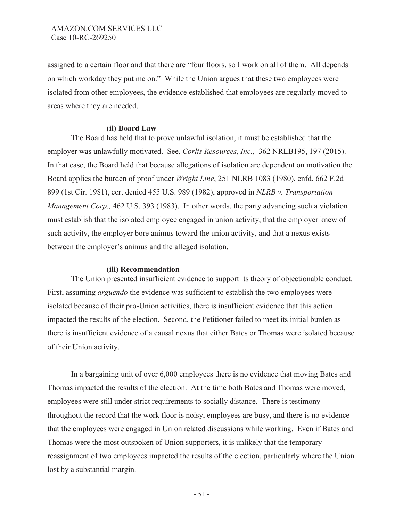assigned to a certain floor and that there are "four floors, so I work on all of them. All depends on which workday they put me on." While the Union argues that these two employees were isolated from other employees, the evidence established that employees are regularly moved to areas where they are needed.

### **(ii) Board Law**

The Board has held that to prove unlawful isolation, it must be established that the employer was unlawfully motivated. See, *Corlis Resources, Inc.,* 362 NRLB195, 197 (2015). In that case, the Board held that because allegations of isolation are dependent on motivation the Board applies the burden of proof under *Wright Line*, 251 NLRB 1083 (1980), enfd. 662 F.2d 899 (1st Cir. 1981), cert denied 455 U.S. 989 (1982), approved in *NLRB v. Transportation Management Corp.,* 462 U.S. 393 (1983). In other words, the party advancing such a violation must establish that the isolated employee engaged in union activity, that the employer knew of such activity, the employer bore animus toward the union activity, and that a nexus exists between the employer's animus and the alleged isolation.

### **(iii) Recommendation**

The Union presented insufficient evidence to support its theory of objectionable conduct. First, assuming *arguendo* the evidence was sufficient to establish the two employees were isolated because of their pro-Union activities, there is insufficient evidence that this action impacted the results of the election. Second, the Petitioner failed to meet its initial burden as there is insufficient evidence of a causal nexus that either Bates or Thomas were isolated because of their Union activity.

In a bargaining unit of over 6,000 employees there is no evidence that moving Bates and Thomas impacted the results of the election. At the time both Bates and Thomas were moved, employees were still under strict requirements to socially distance. There is testimony throughout the record that the work floor is noisy, employees are busy, and there is no evidence that the employees were engaged in Union related discussions while working. Even if Bates and Thomas were the most outspoken of Union supporters, it is unlikely that the temporary reassignment of two employees impacted the results of the election, particularly where the Union lost by a substantial margin.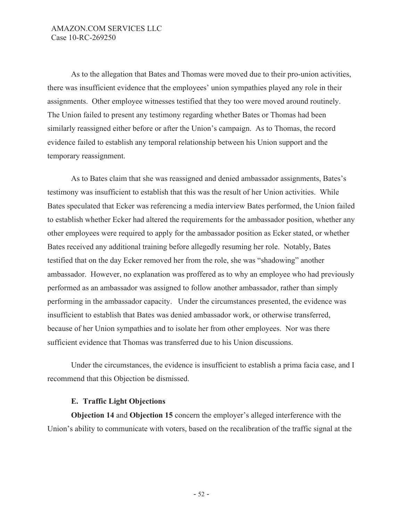As to the allegation that Bates and Thomas were moved due to their pro-union activities, there was insufficient evidence that the employees' union sympathies played any role in their assignments. Other employee witnesses testified that they too were moved around routinely. The Union failed to present any testimony regarding whether Bates or Thomas had been similarly reassigned either before or after the Union's campaign. As to Thomas, the record evidence failed to establish any temporal relationship between his Union support and the temporary reassignment.

As to Bates claim that she was reassigned and denied ambassador assignments, Bates's testimony was insufficient to establish that this was the result of her Union activities. While Bates speculated that Ecker was referencing a media interview Bates performed, the Union failed to establish whether Ecker had altered the requirements for the ambassador position, whether any other employees were required to apply for the ambassador position as Ecker stated, or whether Bates received any additional training before allegedly resuming her role. Notably, Bates testified that on the day Ecker removed her from the role, she was "shadowing" another ambassador. However, no explanation was proffered as to why an employee who had previously performed as an ambassador was assigned to follow another ambassador, rather than simply performing in the ambassador capacity. Under the circumstances presented, the evidence was insufficient to establish that Bates was denied ambassador work, or otherwise transferred, because of her Union sympathies and to isolate her from other employees. Nor was there sufficient evidence that Thomas was transferred due to his Union discussions.

Under the circumstances, the evidence is insufficient to establish a prima facia case, and I recommend that this Objection be dismissed.

### **E. Traffic Light Objections**

**Objection 14** and **Objection 15** concern the employer's alleged interference with the Union's ability to communicate with voters, based on the recalibration of the traffic signal at the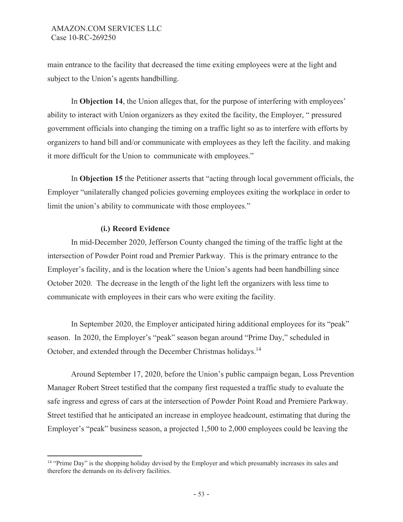main entrance to the facility that decreased the time exiting employees were at the light and subject to the Union's agents handbilling.

In **Objection 14**, the Union alleges that, for the purpose of interfering with employees' ability to interact with Union organizers as they exited the facility, the Employer, " pressured government officials into changing the timing on a traffic light so as to interfere with efforts by organizers to hand bill and/or communicate with employees as they left the facility. and making it more difficult for the Union to communicate with employees."

In **Objection 15** the Petitioner asserts that "acting through local government officials, the Employer "unilaterally changed policies governing employees exiting the workplace in order to limit the union's ability to communicate with those employees."

## **(i.) Record Evidence**

 In mid-December 2020, Jefferson County changed the timing of the traffic light at the intersection of Powder Point road and Premier Parkway. This is the primary entrance to the Employer's facility, and is the location where the Union's agents had been handbilling since October 2020. The decrease in the length of the light left the organizers with less time to communicate with employees in their cars who were exiting the facility.

In September 2020, the Employer anticipated hiring additional employees for its "peak" season. In 2020, the Employer's "peak" season began around "Prime Day," scheduled in October, and extended through the December Christmas holidays.14

Around September 17, 2020, before the Union's public campaign began, Loss Prevention Manager Robert Street testified that the company first requested a traffic study to evaluate the safe ingress and egress of cars at the intersection of Powder Point Road and Premiere Parkway. Street testified that he anticipated an increase in employee headcount, estimating that during the Employer's "peak" business season, a projected 1,500 to 2,000 employees could be leaving the

<sup>&</sup>lt;sup>14</sup> "Prime Day" is the shopping holiday devised by the Employer and which presumably increases its sales and therefore the demands on its delivery facilities.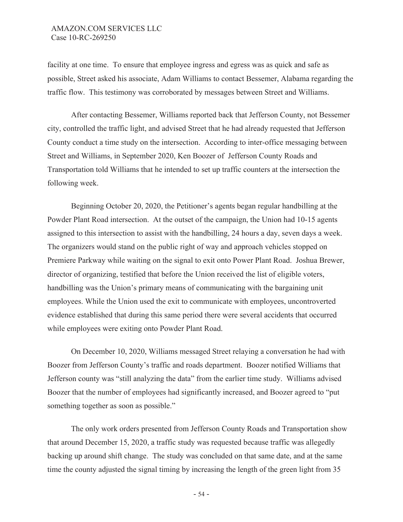facility at one time. To ensure that employee ingress and egress was as quick and safe as possible, Street asked his associate, Adam Williams to contact Bessemer, Alabama regarding the traffic flow. This testimony was corroborated by messages between Street and Williams.

After contacting Bessemer, Williams reported back that Jefferson County, not Bessemer city, controlled the traffic light, and advised Street that he had already requested that Jefferson County conduct a time study on the intersection. According to inter-office messaging between Street and Williams, in September 2020, Ken Boozer of Jefferson County Roads and Transportation told Williams that he intended to set up traffic counters at the intersection the following week.

Beginning October 20, 2020, the Petitioner's agents began regular handbilling at the Powder Plant Road intersection. At the outset of the campaign, the Union had 10-15 agents assigned to this intersection to assist with the handbilling, 24 hours a day, seven days a week. The organizers would stand on the public right of way and approach vehicles stopped on Premiere Parkway while waiting on the signal to exit onto Power Plant Road. Joshua Brewer, director of organizing, testified that before the Union received the list of eligible voters, handbilling was the Union's primary means of communicating with the bargaining unit employees. While the Union used the exit to communicate with employees, uncontroverted evidence established that during this same period there were several accidents that occurred while employees were exiting onto Powder Plant Road.

On December 10, 2020, Williams messaged Street relaying a conversation he had with Boozer from Jefferson County's traffic and roads department. Boozer notified Williams that Jefferson county was "still analyzing the data" from the earlier time study. Williams advised Boozer that the number of employees had significantly increased, and Boozer agreed to "put something together as soon as possible."

The only work orders presented from Jefferson County Roads and Transportation show that around December 15, 2020, a traffic study was requested because traffic was allegedly backing up around shift change. The study was concluded on that same date, and at the same time the county adjusted the signal timing by increasing the length of the green light from 35

- 54 -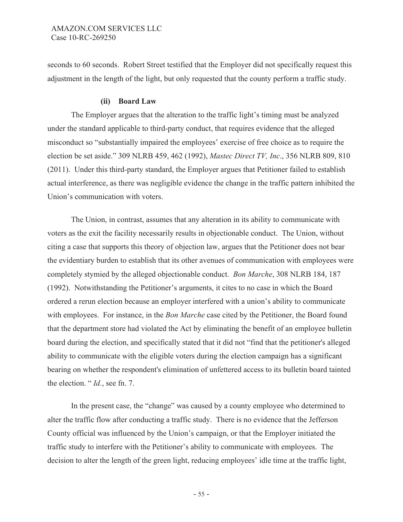seconds to 60 seconds. Robert Street testified that the Employer did not specifically request this adjustment in the length of the light, but only requested that the county perform a traffic study.

### **(ii) Board Law**

The Employer argues that the alteration to the traffic light's timing must be analyzed under the standard applicable to third-party conduct, that requires evidence that the alleged misconduct so "substantially impaired the employees' exercise of free choice as to require the election be set aside." 309 NLRB 459, 462 (1992), *Mastec Direct TV, Inc*., 356 NLRB 809, 810 (2011). Under this third-party standard, the Employer argues that Petitioner failed to establish actual interference, as there was negligible evidence the change in the traffic pattern inhibited the Union's communication with voters.

The Union, in contrast, assumes that any alteration in its ability to communicate with voters as the exit the facility necessarily results in objectionable conduct. The Union, without citing a case that supports this theory of objection law, argues that the Petitioner does not bear the evidentiary burden to establish that its other avenues of communication with employees were completely stymied by the alleged objectionable conduct. *Bon Marche*, 308 NLRB 184, 187 (1992). Notwithstanding the Petitioner's arguments, it cites to no case in which the Board ordered a rerun election because an employer interfered with a union's ability to communicate with employees. For instance, in the *Bon Marche* case cited by the Petitioner, the Board found that the department store had violated the Act by eliminating the benefit of an employee bulletin board during the election, and specifically stated that it did not "find that the petitioner's alleged ability to communicate with the eligible voters during the election campaign has a significant bearing on whether the respondent's elimination of unfettered access to its bulletin board tainted the election. " *Id.*, see fn. 7.

In the present case, the "change" was caused by a county employee who determined to alter the traffic flow after conducting a traffic study. There is no evidence that the Jefferson County official was influenced by the Union's campaign, or that the Employer initiated the traffic study to interfere with the Petitioner's ability to communicate with employees. The decision to alter the length of the green light, reducing employees' idle time at the traffic light,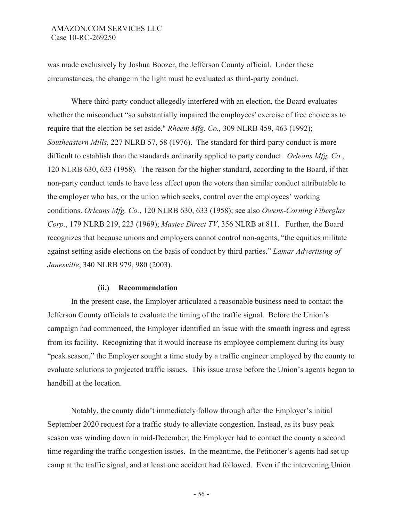was made exclusively by Joshua Boozer, the Jefferson County official. Under these circumstances, the change in the light must be evaluated as third-party conduct.

Where third-party conduct allegedly interfered with an election, the Board evaluates whether the misconduct "so substantially impaired the employees' exercise of free choice as to require that the election be set aside." *Rheem Mfg. Co.,* 309 NLRB 459, 463 (1992); *Southeastern Mills,* 227 NLRB 57, 58 (1976). The standard for third-party conduct is more difficult to establish than the standards ordinarily applied to party conduct. *Orleans Mfg. Co.*, 120 NLRB 630, 633 (1958). The reason for the higher standard, according to the Board, if that non-party conduct tends to have less effect upon the voters than similar conduct attributable to the employer who has, or the union which seeks, control over the employees' working conditions. *Orleans Mfg. Co.*, 120 NLRB 630, 633 (1958); see also *Owens-Corning Fiberglas Corp.*, 179 NLRB 219, 223 (1969); *Mastec Direct TV*, 356 NLRB at 811. Further, the Board recognizes that because unions and employers cannot control non-agents, "the equities militate against setting aside elections on the basis of conduct by third parties." *Lamar Advertising of Janesville*, 340 NLRB 979, 980 (2003).

### **(ii.) Recommendation**

In the present case, the Employer articulated a reasonable business need to contact the Jefferson County officials to evaluate the timing of the traffic signal. Before the Union's campaign had commenced, the Employer identified an issue with the smooth ingress and egress from its facility. Recognizing that it would increase its employee complement during its busy "peak season," the Employer sought a time study by a traffic engineer employed by the county to evaluate solutions to projected traffic issues. This issue arose before the Union's agents began to handbill at the location.

Notably, the county didn't immediately follow through after the Employer's initial September 2020 request for a traffic study to alleviate congestion. Instead, as its busy peak season was winding down in mid-December, the Employer had to contact the county a second time regarding the traffic congestion issues. In the meantime, the Petitioner's agents had set up camp at the traffic signal, and at least one accident had followed. Even if the intervening Union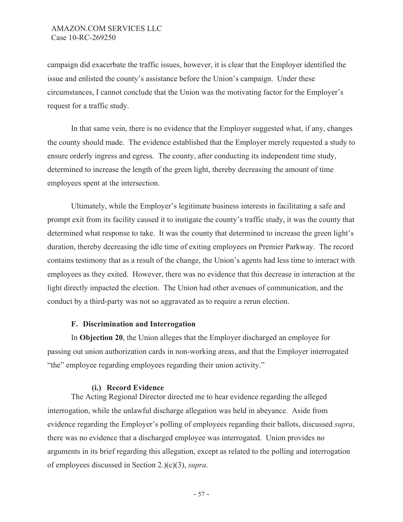campaign did exacerbate the traffic issues, however, it is clear that the Employer identified the issue and enlisted the county's assistance before the Union's campaign. Under these circumstances, I cannot conclude that the Union was the motivating factor for the Employer's request for a traffic study.

In that same vein, there is no evidence that the Employer suggested what, if any, changes the county should made. The evidence established that the Employer merely requested a study to ensure orderly ingress and egress. The county, after conducting its independent time study, determined to increase the length of the green light, thereby decreasing the amount of time employees spent at the intersection.

Ultimately, while the Employer's legitimate business interests in facilitating a safe and prompt exit from its facility caused it to instigate the county's traffic study, it was the county that determined what response to take. It was the county that determined to increase the green light's duration, thereby decreasing the idle time of exiting employees on Premier Parkway. The record contains testimony that as a result of the change, the Union's agents had less time to interact with employees as they exited. However, there was no evidence that this decrease in interaction at the light directly impacted the election. The Union had other avenues of communication, and the conduct by a third-party was not so aggravated as to require a rerun election.

### **F. Discrimination and Interrogation**

In **Objection 20**, the Union alleges that the Employer discharged an employee for passing out union authorization cards in non-working areas, and that the Employer interrogated "the" employee regarding employees regarding their union activity."

## **(i.) Record Evidence**

 The Acting Regional Director directed me to hear evidence regarding the alleged interrogation, while the unlawful discharge allegation was held in abeyance. Aside from evidence regarding the Employer's polling of employees regarding their ballots, discussed *supra*, there was no evidence that a discharged employee was interrogated. Union provides no arguments in its brief regarding this allegation, except as related to the polling and interrogation of employees discussed in Section 2.)(c)(3), *supra*.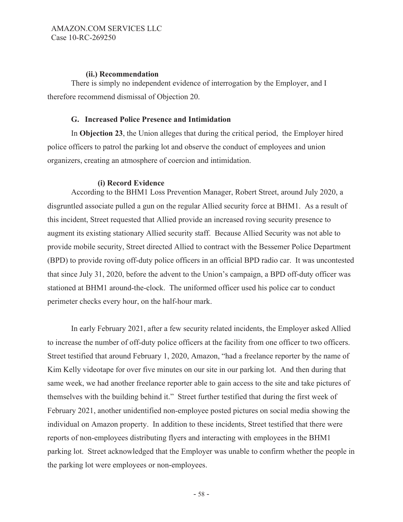### **(ii.) Recommendation**

There is simply no independent evidence of interrogation by the Employer, and I therefore recommend dismissal of Objection 20.

## **G. Increased Police Presence and Intimidation**

In **Objection 23**, the Union alleges that during the critical period, the Employer hired police officers to patrol the parking lot and observe the conduct of employees and union organizers, creating an atmosphere of coercion and intimidation.

## **(i) Record Evidence**

 According to the BHM1 Loss Prevention Manager, Robert Street, around July 2020, a disgruntled associate pulled a gun on the regular Allied security force at BHM1. As a result of this incident, Street requested that Allied provide an increased roving security presence to augment its existing stationary Allied security staff. Because Allied Security was not able to provide mobile security, Street directed Allied to contract with the Bessemer Police Department (BPD) to provide roving off-duty police officers in an official BPD radio car. It was uncontested that since July 31, 2020, before the advent to the Union's campaign, a BPD off-duty officer was stationed at BHM1 around-the-clock. The uniformed officer used his police car to conduct perimeter checks every hour, on the half-hour mark.

In early February 2021, after a few security related incidents, the Employer asked Allied to increase the number of off-duty police officers at the facility from one officer to two officers. Street testified that around February 1, 2020, Amazon, "had a freelance reporter by the name of Kim Kelly videotape for over five minutes on our site in our parking lot. And then during that same week, we had another freelance reporter able to gain access to the site and take pictures of themselves with the building behind it." Street further testified that during the first week of February 2021, another unidentified non-employee posted pictures on social media showing the individual on Amazon property. In addition to these incidents, Street testified that there were reports of non-employees distributing flyers and interacting with employees in the BHM1 parking lot. Street acknowledged that the Employer was unable to confirm whether the people in the parking lot were employees or non-employees.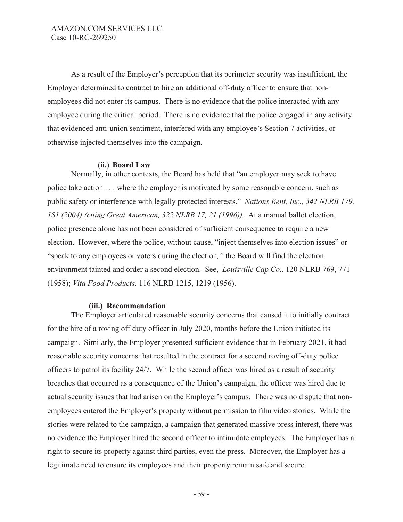As a result of the Employer's perception that its perimeter security was insufficient, the Employer determined to contract to hire an additional off-duty officer to ensure that nonemployees did not enter its campus. There is no evidence that the police interacted with any employee during the critical period. There is no evidence that the police engaged in any activity that evidenced anti-union sentiment, interfered with any employee's Section 7 activities, or otherwise injected themselves into the campaign.

### **(ii.) Board Law**

Normally, in other contexts, the Board has held that "an employer may seek to have police take action . . . where the employer is motivated by some reasonable concern, such as public safety or interference with legally protected interests." *Nations Rent, Inc., 342 NLRB 179, 181 (2004) (citing Great American, 322 NLRB 17, 21 (1996)).* At a manual ballot election, police presence alone has not been considered of sufficient consequence to require a new election. However, where the police, without cause, "inject themselves into election issues" or "speak to any employees or voters during the election*,"* the Board will find the election environment tainted and order a second election. See, *Louisville Cap Co.,* 120 NLRB 769, 771 (1958); *Vita Food Products,* 116 NLRB 1215, 1219 (1956).

### **(iii.) Recommendation**

The Employer articulated reasonable security concerns that caused it to initially contract for the hire of a roving off duty officer in July 2020, months before the Union initiated its campaign. Similarly, the Employer presented sufficient evidence that in February 2021, it had reasonable security concerns that resulted in the contract for a second roving off-duty police officers to patrol its facility 24/7. While the second officer was hired as a result of security breaches that occurred as a consequence of the Union's campaign, the officer was hired due to actual security issues that had arisen on the Employer's campus. There was no dispute that nonemployees entered the Employer's property without permission to film video stories. While the stories were related to the campaign, a campaign that generated massive press interest, there was no evidence the Employer hired the second officer to intimidate employees. The Employer has a right to secure its property against third parties, even the press. Moreover, the Employer has a legitimate need to ensure its employees and their property remain safe and secure.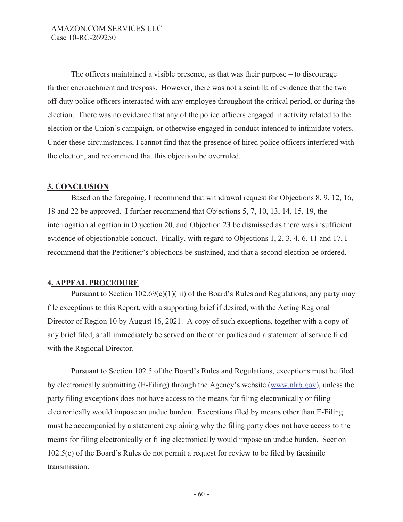The officers maintained a visible presence, as that was their purpose – to discourage further encroachment and trespass. However, there was not a scintilla of evidence that the two off-duty police officers interacted with any employee throughout the critical period, or during the election. There was no evidence that any of the police officers engaged in activity related to the election or the Union's campaign, or otherwise engaged in conduct intended to intimidate voters. Under these circumstances, I cannot find that the presence of hired police officers interfered with the election, and recommend that this objection be overruled.

### **3. CONCLUSION**

Based on the foregoing, I recommend that withdrawal request for Objections 8, 9, 12, 16, 18 and 22 be approved. I further recommend that Objections 5, 7, 10, 13, 14, 15, 19, the interrogation allegation in Objection 20, and Objection 23 be dismissed as there was insufficient evidence of objectionable conduct. Finally, with regard to Objections 1, 2, 3, 4, 6, 11 and 17, I recommend that the Petitioner's objections be sustained, and that a second election be ordered.

## **4. APPEAL PROCEDURE**

Pursuant to Section  $102.69(c)(1)(iii)$  of the Board's Rules and Regulations, any party may file exceptions to this Report, with a supporting brief if desired, with the Acting Regional Director of Region 10 by August 16, 2021. A copy of such exceptions, together with a copy of any brief filed, shall immediately be served on the other parties and a statement of service filed with the Regional Director.

Pursuant to Section 102.5 of the Board's Rules and Regulations, exceptions must be filed by electronically submitting (E-Filing) through the Agency's website (www.nlrb.gov), unless the party filing exceptions does not have access to the means for filing electronically or filing electronically would impose an undue burden. Exceptions filed by means other than E-Filing must be accompanied by a statement explaining why the filing party does not have access to the means for filing electronically or filing electronically would impose an undue burden. Section 102.5(e) of the Board's Rules do not permit a request for review to be filed by facsimile transmission.